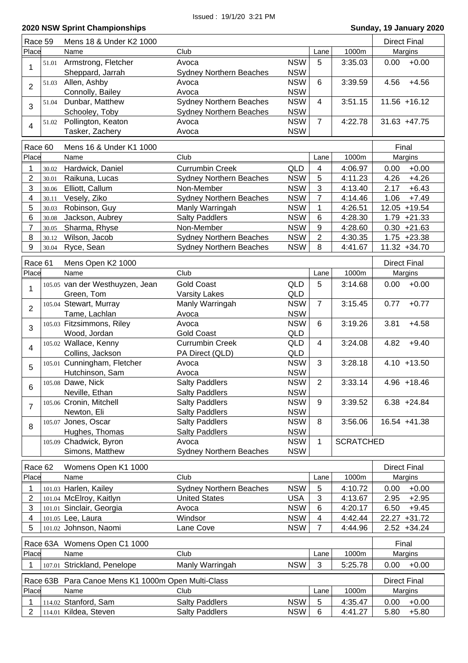| Race 59                  |          | Mens 18 & Under K2 1000                   |                                |            |                |                  | <b>Direct Final</b> |
|--------------------------|----------|-------------------------------------------|--------------------------------|------------|----------------|------------------|---------------------|
| Place                    |          | Name                                      | Club                           |            | Lane           | 1000m            | Margins             |
|                          | 51.01    | Armstrong, Fletcher                       | Avoca                          | <b>NSW</b> | 5              | 3:35.03          | $+0.00$<br>0.00     |
| 1                        |          | Sheppard, Jarrah                          | <b>Sydney Northern Beaches</b> | <b>NSW</b> |                |                  |                     |
|                          | 51.03    | Allen, Ashby                              | Avoca                          | <b>NSW</b> | 6              | 3:39.59          | $+4.56$<br>4.56     |
| $\overline{2}$           |          | Connolly, Bailey                          | Avoca                          | <b>NSW</b> |                |                  |                     |
|                          | 51.04    | Dunbar, Matthew                           | <b>Sydney Northern Beaches</b> | <b>NSW</b> | $\overline{4}$ | 3:51.15          | $11.56 + 16.12$     |
| 3                        |          | Schooley, Toby                            | <b>Sydney Northern Beaches</b> | <b>NSW</b> |                |                  |                     |
|                          | 51.02    | Pollington, Keaton                        | Avoca                          | <b>NSW</b> | $\overline{7}$ | 4:22.78          | $31.63 + 47.75$     |
| 4                        |          | Tasker, Zachery                           | Avoca                          | <b>NSW</b> |                |                  |                     |
|                          |          |                                           |                                |            |                |                  |                     |
| Race 60                  |          | Mens 16 & Under K1 1000                   |                                |            |                |                  | Final               |
| Place                    |          | Name                                      | Club                           |            | Lane           | 1000m            | Margins             |
| 1                        | 30.02    | Hardwick, Daniel                          | <b>Currumbin Creek</b>         | QLD        | 4              | 4:06.97          | 0.00<br>$+0.00$     |
| $\overline{2}$           | 30.01    | Raikuna, Lucas                            | <b>Sydney Northern Beaches</b> | <b>NSW</b> | 5              | 4:11.23          | 4.26<br>$+4.26$     |
| 3                        | 30.06    | Elliott, Callum                           | Non-Member                     | <b>NSW</b> | 3              | 4:13.40          | 2.17<br>$+6.43$     |
| $\overline{\mathcal{A}}$ | 30.11    | Vesely, Ziko                              | <b>Sydney Northern Beaches</b> | <b>NSW</b> | 7              | 4:14.46          | $+7.49$<br>1.06     |
| 5                        | 30.03    | Robinson, Guy                             | Manly Warringah                | <b>NSW</b> | $\mathbf 1$    | 4:26.51          | 12.05 +19.54        |
| 6                        | 30.08    | Jackson, Aubrey                           | <b>Salty Paddlers</b>          | <b>NSW</b> | $6\phantom{1}$ | 4:28.30          | $1.79 + 21.33$      |
| $\overline{7}$           | 30.05    | Sharma, Rhyse                             | Non-Member                     | <b>NSW</b> | 9              | 4:28.60          | $0.30 +21.63$       |
| 8                        | 30.12    | Wilson, Jacob                             | <b>Sydney Northern Beaches</b> | <b>NSW</b> | $\overline{2}$ | 4:30.35          | $1.75 +23.38$       |
| 9                        | 30.04    | Ryce, Sean                                | <b>Sydney Northern Beaches</b> | <b>NSW</b> | 8              | 4:41.67          | 11.32 +34.70        |
| Race 61                  |          | Mens Open K2 1000                         |                                |            |                |                  | <b>Direct Final</b> |
| Place                    |          | Name                                      | Club                           |            | Lane           | 1000m            | Margins             |
|                          |          | 105.05 van der Westhuyzen, Jean           | <b>Gold Coast</b>              | QLD        | 5              | 3:14.68          | $+0.00$<br>0.00     |
| $\mathbf{1}$             |          | Green, Tom                                | <b>Varsity Lakes</b>           | QLD        |                |                  |                     |
|                          |          | 105.04 Stewart, Murray                    | Manly Warringah                | <b>NSW</b> | $\overline{7}$ | 3:15.45          | $+0.77$<br>0.77     |
| $\overline{2}$           |          | Tame, Lachlan                             | Avoca                          | <b>NSW</b> |                |                  |                     |
|                          |          | 105.03 Fitzsimmons, Riley                 | Avoca                          | <b>NSW</b> | 6              | 3:19.26          | $+4.58$<br>3.81     |
| 3                        |          | Wood, Jordan                              | <b>Gold Coast</b>              | QLD        |                |                  |                     |
|                          |          | 105.02 Wallace, Kenny                     | <b>Currumbin Creek</b>         | QLD        | $\overline{4}$ | 3:24.08          | $+9.40$<br>4.82     |
| 4                        |          | Collins, Jackson                          | PA Direct (QLD)                | QLD        |                |                  |                     |
|                          |          | 105.01 Cunningham, Fletcher               | Avoca                          | <b>NSW</b> | 3              | 3:28.18          | $4.10 + 13.50$      |
| 5                        |          | Hutchinson, Sam                           | Avoca                          | <b>NSW</b> |                |                  |                     |
|                          |          | 105.08 Dawe, Nick                         | <b>Salty Paddlers</b>          | <b>NSW</b> | $\overline{2}$ | 3:33.14          | $4.96 + 18.46$      |
| 6                        |          | Neville, Ethan                            | <b>Salty Paddlers</b>          | <b>NSW</b> |                |                  |                     |
|                          |          | 105.06 Cronin, Mitchell                   | <b>Salty Paddlers</b>          | <b>NSW</b> | 9              | 3:39.52          | $6.38 + 24.84$      |
| $\overline{7}$           |          | Newton, Eli                               | <b>Salty Paddlers</b>          | <b>NSW</b> |                |                  |                     |
|                          |          | 105.07 Jones, Oscar                       | <b>Salty Paddlers</b>          | <b>NSW</b> | 8              | 3:56.06          | 16.54 +41.38        |
| $\bf 8$                  |          | Hughes, Thomas                            | <b>Salty Paddlers</b>          | <b>NSW</b> |                |                  |                     |
|                          |          | 105.09 Chadwick, Byron                    | Avoca                          | <b>NSW</b> | 1              | <b>SCRATCHED</b> |                     |
|                          |          | Simons, Matthew                           | <b>Sydney Northern Beaches</b> | <b>NSW</b> |                |                  |                     |
|                          |          |                                           |                                |            |                |                  |                     |
| Race 62                  |          | Womens Open K1 1000                       |                                |            |                |                  | <b>Direct Final</b> |
| Place                    |          | Name                                      | Club                           |            | Lane           | 1000m            | Margins             |
| 1                        |          | 101.03 Harlen, Kailey                     | <b>Sydney Northern Beaches</b> | <b>NSW</b> | 5              | 4:10.72          | $+0.00$<br>0.00     |
| 2                        |          | 101.04 McElroy, Kaitlyn                   | <b>United States</b>           | <b>USA</b> | 3              | 4:13.67          | 2.95<br>$+2.95$     |
| 3                        |          | 101.01 Sinclair, Georgia                  | Avoca                          | <b>NSW</b> | 6              | 4:20.17          | 6.50<br>$+9.45$     |
| 4                        |          | 101.05 Lee, Laura                         | Windsor                        | <b>NSW</b> | 4              | 4:42.44          | 22.27 +31.72        |
| 5                        |          | 101.02 Johnson, Naomi                     | Lane Cove                      | <b>NSW</b> | 7              | 4:44.96          | $2.52 + 34.24$      |
|                          |          | Race 63A Womens Open C1 1000              |                                |            |                |                  | Final               |
| Place                    |          | Name                                      | Club                           |            | Lane           | 1000m            | Margins             |
|                          |          |                                           |                                |            |                |                  |                     |
|                          |          | 107.01 Strickland, Penelope               | Manly Warringah                | <b>NSW</b> | 3              | 5:25.78          | 0.00<br>$+0.00$     |
|                          | Race 63B | Para Canoe Mens K1 1000m Open Multi-Class |                                |            |                |                  | <b>Direct Final</b> |
| Place                    |          | Name                                      | Club                           |            | Lane           | 1000m            | Margins             |
| 1                        |          | 114.02 Stanford, Sam                      | <b>Salty Paddlers</b>          | <b>NSW</b> | 5              | 4:35.47          | $+0.00$<br>0.00     |
| 2                        |          | 114.01 Kildea, Steven                     | <b>Salty Paddlers</b>          | <b>NSW</b> | 6              | 4:41.27          | 5.80<br>$+5.80$     |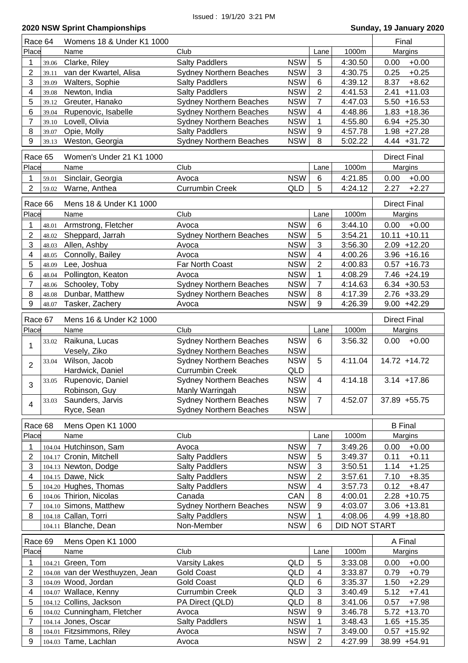| Race 64                 |       | Womens 18 & Under K1 1000       |                                |            |                  |                      | Final               |
|-------------------------|-------|---------------------------------|--------------------------------|------------|------------------|----------------------|---------------------|
| Place                   |       | Name                            | Club                           |            | Lane             | 1000m                | Margins             |
| 1                       | 39.06 | Clarke, Riley                   | <b>Salty Paddlers</b>          | <b>NSW</b> | 5                | 4:30.50              | $+0.00$<br>0.00     |
| $\overline{2}$          | 39.11 | van der Kwartel, Alisa          | <b>Sydney Northern Beaches</b> | <b>NSW</b> | 3                | 4:30.75              | 0.25<br>$+0.25$     |
| 3                       | 39.09 | Walters, Sophie                 | <b>Salty Paddlers</b>          | <b>NSW</b> | 6                | 4:39.12              | 8.37<br>$+8.62$     |
| 4                       | 39.08 | Newton, India                   | <b>Salty Paddlers</b>          | <b>NSW</b> | $\overline{2}$   | 4:41.53              | 2.41<br>$+11.03$    |
| 5                       | 39.12 | Greuter, Hanako                 | <b>Sydney Northern Beaches</b> | <b>NSW</b> | $\overline{7}$   | 4:47.03              | $5.50 + 16.53$      |
| 6                       | 39.04 | Rupenovic, Isabelle             | <b>Sydney Northern Beaches</b> | <b>NSW</b> | 4                | 4:48.86              | $1.83 + 18.36$      |
| $\overline{7}$          | 39.10 | Lovell, Olivia                  | <b>Sydney Northern Beaches</b> | <b>NSW</b> | 1                | 4:55.80              | $6.94 +25.30$       |
| 8                       | 39.07 | Opie, Molly                     | <b>Salty Paddlers</b>          | <b>NSW</b> | 9                | 4:57.78              | $1.98 +27.28$       |
| 9                       | 39.13 | Weston, Georgia                 | <b>Sydney Northern Beaches</b> | <b>NSW</b> | 8                | 5:02.22              | $4.44 + 31.72$      |
|                         |       |                                 |                                |            |                  |                      |                     |
| Race 65                 |       | Women's Under 21 K1 1000        |                                |            |                  |                      | <b>Direct Final</b> |
| Place                   |       | Name                            | Club                           |            | Lane             | 1000m                | <b>Margins</b>      |
| 1                       | 59.01 | Sinclair, Georgia               | Avoca                          | <b>NSW</b> | 6                | 4:21.85              | $+0.00$<br>0.00     |
| $\overline{2}$          | 59.02 | Warne, Anthea                   | <b>Currumbin Creek</b>         | QLD        | 5                | 4:24.12              | 2.27<br>$+2.27$     |
| Race 66                 |       | Mens 18 & Under K1 1000         |                                |            |                  |                      | <b>Direct Final</b> |
| Place                   |       |                                 | Club                           |            |                  | 1000m                |                     |
|                         |       | Name                            |                                |            | Lane             |                      | Margins             |
| 1                       | 48.01 | Armstrong, Fletcher             | Avoca                          | <b>NSW</b> | $6\phantom{1}6$  | 3:44.10              | $+0.00$<br>0.00     |
| $\overline{\mathbf{c}}$ | 48.02 | Sheppard, Jarrah                | <b>Sydney Northern Beaches</b> | <b>NSW</b> | 5                | 3:54.21              | $10.11 + 10.11$     |
| 3                       | 48.03 | Allen, Ashby                    | Avoca                          | <b>NSW</b> | 3                | 3:56.30              | $2.09 + 12.20$      |
| 4                       | 48.05 | Connolly, Bailey                | Avoca                          | <b>NSW</b> | 4                | 4:00.26              | $3.96 + 16.16$      |
| 5                       | 48.09 | Lee, Joshua                     | Far North Coast                | <b>NSW</b> | 2                | 4:00.83              | $0.57 + 16.73$      |
| 6                       | 48.04 | Pollington, Keaton              | Avoca                          | <b>NSW</b> | 1                | 4:08.29              | 7.46 +24.19         |
| 7                       | 48.06 | Schooley, Toby                  | Sydney Northern Beaches        | <b>NSW</b> | $\overline{7}$   | 4:14.63              | $6.34 + 30.53$      |
| 8                       | 48.08 | Dunbar, Matthew                 | <b>Sydney Northern Beaches</b> | <b>NSW</b> | 8                | 4:17.39              | $2.76 + 33.29$      |
| 9                       | 48.07 | Tasker, Zachery                 | Avoca                          | <b>NSW</b> | 9                | 4:26.39              | $9.00 + 42.29$      |
|                         |       |                                 |                                |            |                  |                      |                     |
| Race 67                 |       | Mens 16 & Under K2 1000         |                                |            |                  |                      | <b>Direct Final</b> |
| Place                   |       | Name                            | Club                           |            | Lane             | 1000m                | Margins             |
| 1                       | 33.02 | Raikuna, Lucas                  | <b>Sydney Northern Beaches</b> | <b>NSW</b> | 6                | 3:56.32              | 0.00<br>$+0.00$     |
|                         |       | Vesely, Ziko                    | <b>Sydney Northern Beaches</b> | <b>NSW</b> |                  |                      |                     |
| $\overline{2}$          | 33.04 | Wilson, Jacob                   | <b>Sydney Northern Beaches</b> | <b>NSW</b> | 5                | 4:11.04              | 14.72 +14.72        |
|                         |       | Hardwick, Daniel                | <b>Currumbin Creek</b>         | QLD        |                  |                      |                     |
| 3                       | 33.05 | Rupenovic, Daniel               | <b>Sydney Northern Beaches</b> | <b>NSW</b> | $\overline{4}$   | 4:14.18              | $3.14 + 17.86$      |
|                         |       | Robinson, Guy                   | Manly Warringah                | <b>NSW</b> |                  |                      |                     |
| 4                       | 33.03 | Saunders, Jarvis                | <b>Sydney Northern Beaches</b> | <b>NSW</b> | $\overline{7}$   | 4:52.07              | 37.89 +55.75        |
|                         |       | Ryce, Sean                      | <b>Sydney Northern Beaches</b> | <b>NSW</b> |                  |                      |                     |
| Race 68                 |       | Mens Open K1 1000               |                                |            |                  |                      | <b>B</b> Final      |
| Place                   |       | Name                            | Club                           |            | Lane             | 1000m                | Margins             |
|                         |       |                                 |                                |            |                  |                      |                     |
| 1                       |       | 104.04 Hutchinson, Sam          | Avoca                          | <b>NSW</b> | $\overline{7}$   | 3:49.26              | 0.00<br>$+0.00$     |
| 2                       |       | 104.17 Cronin, Mitchell         | <b>Salty Paddlers</b>          | <b>NSW</b> | 5                | 3:49.37              | $+0.11$<br>0.11     |
| 3                       |       | 104.13 Newton, Dodge            | <b>Salty Paddlers</b>          | <b>NSW</b> | 3                | 3:50.51              | $+1.25$<br>1.14     |
| 4                       |       | 104.15 Dawe, Nick               | <b>Salty Paddlers</b>          | <b>NSW</b> | $\overline{2}$   | 3:57.61              | $+8.35$<br>7.10     |
| 5                       |       | 104.20 Hughes, Thomas           | <b>Salty Paddlers</b>          | <b>NSW</b> | 4                | 3:57.73              | 0.12<br>$+8.47$     |
| 6                       |       | 104.06 Thirion, Nicolas         | Canada                         | CAN        | 8                | 4:00.01              | 2.28<br>$+10.75$    |
| 7                       |       | 104.10 Simons, Matthew          | <b>Sydney Northern Beaches</b> | <b>NSW</b> | 9                | 4:03.07              | $3.06 + 13.81$      |
| 8                       |       | 104.18 Callan, Torri            | <b>Salty Paddlers</b>          | <b>NSW</b> | 1                | 4:08.06              | $4.99 + 18.80$      |
|                         |       | 104.11 Blanche, Dean            | Non-Member                     | <b>NSW</b> | 6                | <b>DID NOT START</b> |                     |
| Race 69                 |       | Mens Open K1 1000               |                                |            |                  |                      | A Final             |
| Place                   |       | Name                            | Club                           |            | Lane             | 1000m                | Margins             |
|                         |       |                                 |                                |            | 5                | 3:33.08              |                     |
| 1                       |       | 104.21 Green, Tom               | <b>Varsity Lakes</b>           | QLD        |                  |                      | 0.00<br>$+0.00$     |
| $\overline{c}$          |       | 104.08 van der Westhuyzen, Jean | <b>Gold Coast</b>              | QLD        | 4                | 3:33.87              | 0.79<br>$+0.79$     |
| 3                       |       | 104.09 Wood, Jordan             | <b>Gold Coast</b>              | <b>QLD</b> | 6                | 3:35.37              | 1.50<br>$+2.29$     |
| 4                       |       | 104.07 Wallace, Kenny           | <b>Currumbin Creek</b>         | QLD        | 3                | 3:40.49              | 5.12<br>$+7.41$     |
| 5                       |       | 104.12 Collins, Jackson         | PA Direct (QLD)                | QLD        | $\, 8$           | 3:41.06              | 0.57<br>$+7.98$     |
| 6                       |       | 104.02 Cunningham, Fletcher     | Avoca                          | <b>NSW</b> | 9                | 3:46.78              | $5.72 + 13.70$      |
| $\overline{7}$          |       | 104.14 Jones, Oscar             | <b>Salty Paddlers</b>          | <b>NSW</b> | 1                | 3:48.43              | $1.65 + 15.35$      |
| 8                       |       | 104.01 Fitzsimmons, Riley       | Avoca                          | <b>NSW</b> | $\overline{7}$   | 3:49.00              | $0.57 + 15.92$      |
| 9                       |       | 104.03 Tame, Lachlan            | Avoca                          | <b>NSW</b> | $\boldsymbol{2}$ | 4:27.99              | 38.99 +54.91        |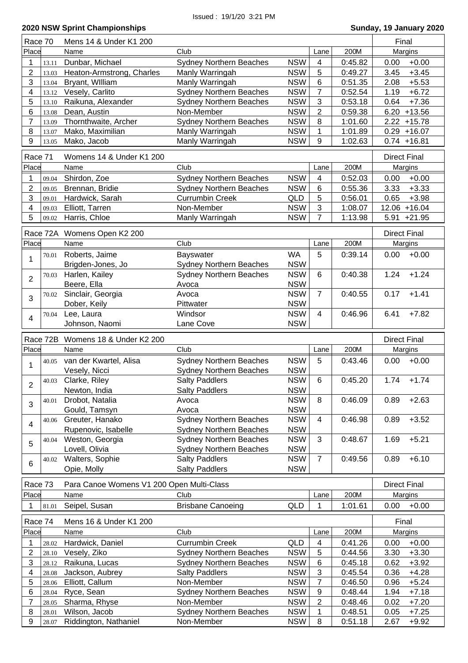| Race 70                 |                | Mens 14 & Under K1 200                    |                                              |                          |                | Final              |                     |                     |
|-------------------------|----------------|-------------------------------------------|----------------------------------------------|--------------------------|----------------|--------------------|---------------------|---------------------|
| Place                   |                | Name                                      | Club                                         |                          | Lane           | 200M               |                     | Margins             |
| 1                       | 13.11          | Dunbar, Michael                           | Sydney Northern Beaches                      | <b>NSW</b>               | $\overline{4}$ | 0:45.82            | 0.00                | $+0.00$             |
| 2                       | 13.03          | Heaton-Armstrong, Charles                 | Manly Warringah                              | <b>NSW</b>               | 5              | 0:49.27            | 3.45                | $+3.45$             |
| 3                       | 13.04          | Bryant, William                           | Manly Warringah                              | <b>NSW</b>               | 6              | 0:51.35            | 2.08                | $+5.53$             |
| 4                       | 13.12          | Vesely, Carlito                           | <b>Sydney Northern Beaches</b>               | <b>NSW</b>               | $\overline{7}$ | 0:52.54            | 1.19                | $+6.72$             |
| 5                       | 13.10          | Raikuna, Alexander                        | <b>Sydney Northern Beaches</b>               | <b>NSW</b>               | 3              | 0:53.18            | 0.64                | $+7.36$             |
| 6                       | 13.08          | Dean, Austin                              | Non-Member                                   | <b>NSW</b>               | $\overline{2}$ | 0:59.38            |                     | $6.20 + 13.56$      |
| 7                       | 13.09          | Thornthwaite, Archer                      | <b>Sydney Northern Beaches</b>               | <b>NSW</b>               | 8              | 1:01.60            |                     | $2.22 + 15.78$      |
| 8                       | 13.07          | Mako, Maximilian                          | Manly Warringah                              | <b>NSW</b>               | 1              | 1:01.89            |                     | $0.29 + 16.07$      |
| 9                       | 13.05          | Mako, Jacob                               | Manly Warringah                              | <b>NSW</b>               | 9              | 1:02.63            |                     | $0.74 + 16.81$      |
|                         |                |                                           |                                              |                          |                |                    |                     |                     |
| Race 71                 |                | Womens 14 & Under K1 200                  |                                              |                          |                |                    |                     | <b>Direct Final</b> |
| Place                   |                | Name                                      | Club                                         |                          | Lane           | 200M               |                     | Margins             |
| 1                       | 09.04          | Shirdon, Zoe                              | <b>Sydney Northern Beaches</b>               | <b>NSW</b>               | 4              | 0:52.03            | 0.00                | $+0.00$             |
| $\overline{2}$          | 09.05          | Brennan, Bridie                           | <b>Sydney Northern Beaches</b>               | <b>NSW</b>               | 6              | 0:55.36            | 3.33                | $+3.33$             |
| 3                       | 09.01          | Hardwick, Sarah                           | <b>Currumbin Creek</b>                       | <b>QLD</b>               | 5              | 0:56.01            | 0.65                | $+3.98$             |
| 4                       | 09.03          | Elliott, Tarren                           | Non-Member                                   | <b>NSW</b>               | $\mathfrak{S}$ | 1:08.07            |                     | 12.06 +16.04        |
| 5                       | 09.02          | Harris, Chloe                             | Manly Warringah                              | <b>NSW</b>               | $\overline{7}$ | 1:13.98            | 5.91                | $+21.95$            |
|                         |                |                                           |                                              |                          |                |                    |                     |                     |
|                         | Race 72A       | Womens Open K2 200                        |                                              |                          |                |                    | <b>Direct Final</b> |                     |
| Place                   |                | Name                                      | Club                                         |                          | Lane           | 200M               |                     | Margins             |
| 1                       | 70.01          | Roberts, Jaime                            | Bayswater                                    | <b>WA</b>                | 5              | 0:39.14            | 0.00                | $+0.00$             |
|                         |                | Brigden-Jones, Jo                         | <b>Sydney Northern Beaches</b>               | <b>NSW</b>               |                |                    |                     |                     |
|                         | 70.03          | Harlen, Kailey                            | <b>Sydney Northern Beaches</b>               | <b>NSW</b>               | 6              | 0:40.38            | 1.24                | $+1.24$             |
| $\overline{2}$          |                | Beere, Ella                               | Avoca                                        | <b>NSW</b>               |                |                    |                     |                     |
|                         | 70.02          | Sinclair, Georgia                         | Avoca                                        | <b>NSW</b>               | $\overline{7}$ | 0:40.55            | 0.17                | $+1.41$             |
| 3                       |                | Dober, Keily                              | Pittwater                                    | <b>NSW</b>               |                |                    |                     |                     |
|                         | 70.04          | Lee, Laura                                | Windsor                                      | <b>NSW</b>               | 4              | 0:46.96            | 6.41                | $+7.82$             |
| $\overline{\mathbf{4}}$ |                | Johnson, Naomi                            | Lane Cove                                    | <b>NSW</b>               |                |                    |                     |                     |
|                         |                |                                           |                                              |                          |                |                    |                     |                     |
|                         |                |                                           |                                              |                          |                |                    |                     |                     |
|                         | Race 72B       | Womens 18 & Under K2 200                  |                                              |                          |                |                    |                     | <b>Direct Final</b> |
| Place                   |                | Name                                      | Club                                         |                          | Lane           | 200M               |                     | Margins             |
|                         | 40.05          | van der Kwartel, Alisa                    | <b>Sydney Northern Beaches</b>               | <b>NSW</b>               | 5              | 0:43.46            | 0.00                | $+0.00$             |
| 1                       |                | Vesely, Nicci                             | <b>Sydney Northern Beaches</b>               | <b>NSW</b>               |                |                    |                     |                     |
|                         | 40.03          |                                           | <b>Salty Paddlers</b>                        | <b>NSW</b>               | 6              | 0:45.20            | 1.74                | $+1.74$             |
| $\overline{2}$          |                | Clarke, Riley                             |                                              |                          |                |                    |                     |                     |
|                         | 40.01          | Newton, India                             | <b>Salty Paddlers</b>                        | <b>NSW</b>               | 8              |                    |                     |                     |
| 3                       |                | Drobot, Natalia                           | Avoca                                        | <b>NSW</b>               |                | 0:46.09            | 0.89                | $+2.63$             |
|                         |                | Gould, Tamsyn                             | Avoca                                        | <b>NSW</b>               | 4              |                    |                     |                     |
| 4                       | 40.06          | Greuter, Hanako                           | <b>Sydney Northern Beaches</b>               | <b>NSW</b>               |                | 0:46.98            | 0.89                | $+3.52$             |
|                         |                | Rupenovic, Isabelle                       | <b>Sydney Northern Beaches</b>               | <b>NSW</b>               |                |                    |                     |                     |
| 5                       | 40.04          | Weston, Georgia                           | <b>Sydney Northern Beaches</b>               | <b>NSW</b>               | 3              | 0:48.67            | 1.69                | $+5.21$             |
|                         |                | Lovell, Olivia                            | <b>Sydney Northern Beaches</b>               | <b>NSW</b>               |                |                    |                     |                     |
| 6                       | 40.02          | Walters, Sophie                           | <b>Salty Paddlers</b>                        | <b>NSW</b>               | $\overline{7}$ | 0:49.56            | 0.89                | $+6.10$             |
|                         |                | Opie, Molly                               | <b>Salty Paddlers</b>                        | <b>NSW</b>               |                |                    |                     |                     |
| Race 73                 |                | Para Canoe Womens V1 200 Open Multi-Class |                                              |                          |                |                    |                     | <b>Direct Final</b> |
| Place                   |                | Name                                      | Club                                         |                          | Lane           | 200M               |                     | Margins             |
| 1                       |                |                                           | <b>Brisbane Canoeing</b>                     | <b>QLD</b>               | 1              | 1:01.61            | 0.00                | $+0.00$             |
|                         | 81.01          | Seipel, Susan                             |                                              |                          |                |                    |                     |                     |
| Race 74                 |                | Mens 16 & Under K1 200                    |                                              |                          |                |                    | Final               |                     |
| Place                   |                | Name                                      | Club                                         |                          | Lane           | 200M               |                     | Margins             |
| 1                       | 28.02          | Hardwick, Daniel                          | <b>Currumbin Creek</b>                       | QLD                      | 4              | 0:41.26            | 0.00                | $+0.00$             |
| 2                       | 28.10          | Vesely, Ziko                              | <b>Sydney Northern Beaches</b>               | <b>NSW</b>               | 5              | 0:44.56            | 3.30                | $+3.30$             |
| 3                       | 28.12          | Raikuna, Lucas                            | <b>Sydney Northern Beaches</b>               | <b>NSW</b>               | 6              | 0:45.18            | 0.62                | $+3.92$             |
| 4                       | 28.08          | Jackson, Aubrey                           | <b>Salty Paddlers</b>                        | <b>NSW</b>               | 3              | 0:45.54            | 0.36                | $+4.28$             |
| 5                       | 28.06          | Elliott, Callum                           | Non-Member                                   | <b>NSW</b>               | $\overline{7}$ | 0:46.50            | 0.96                |                     |
| 6                       | 28.04          |                                           |                                              | <b>NSW</b>               | 9              | 0:48.44            | 1.94                | $+5.24$             |
| 7                       |                | Ryce, Sean                                | <b>Sydney Northern Beaches</b><br>Non-Member |                          | $\overline{2}$ |                    |                     | $+7.18$             |
| 8                       | 28.05<br>28.01 | Sharma, Rhyse<br>Wilson, Jacob            | <b>Sydney Northern Beaches</b>               | <b>NSW</b><br><b>NSW</b> | 1              | 0:48.46<br>0:48.51 | 0.02<br>0.05        | $+7.20$<br>$+7.25$  |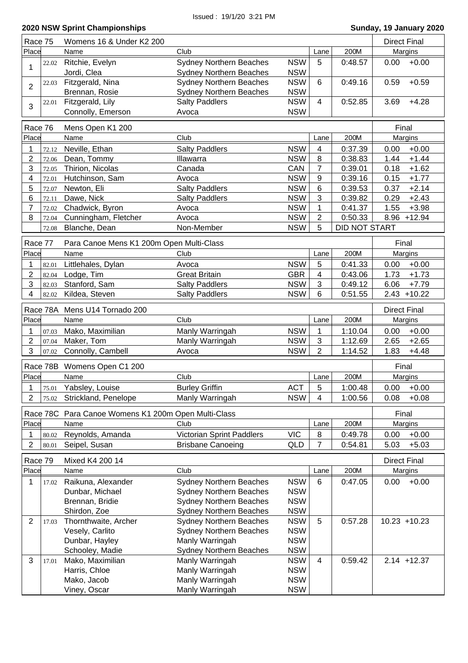| Race 75        |          | Womens 16 & Under K2 200                            |                                |            | <b>Direct Final</b> |                      |                     |
|----------------|----------|-----------------------------------------------------|--------------------------------|------------|---------------------|----------------------|---------------------|
| Place          |          | Name                                                | Club                           |            | Lane                | 200M                 | Margins             |
|                | 22.02    | Ritchie, Evelyn                                     | <b>Sydney Northern Beaches</b> | <b>NSW</b> | 5                   | 0:48.57              | $+0.00$<br>0.00     |
| 1              |          | Jordi, Clea                                         | <b>Sydney Northern Beaches</b> | <b>NSW</b> |                     |                      |                     |
|                | 22.03    | Fitzgerald, Nina                                    | <b>Sydney Northern Beaches</b> | <b>NSW</b> | 6                   | 0:49.16              | $+0.59$<br>0.59     |
| $\overline{2}$ |          | Brennan, Rosie                                      | <b>Sydney Northern Beaches</b> | <b>NSW</b> |                     |                      |                     |
|                | 22.01    | Fitzgerald, Lily                                    | <b>Salty Paddlers</b>          | <b>NSW</b> | 4                   | 0:52.85              | $+4.28$<br>3.69     |
| 3              |          | Connolly, Emerson                                   | Avoca                          | <b>NSW</b> |                     |                      |                     |
|                |          |                                                     |                                |            |                     |                      |                     |
| Race 76        |          | Mens Open K1 200                                    |                                |            |                     |                      | Final               |
| Place          |          | Name                                                | Club                           |            | Lane                | 200M                 | Margins             |
| 1              | 72.12    | Neville, Ethan                                      | <b>Salty Paddlers</b>          | <b>NSW</b> | $\overline{4}$      | 0:37.39              | $+0.00$<br>0.00     |
| 2              | 72.06    | Dean, Tommy                                         | Illawarra                      | <b>NSW</b> | 8                   | 0:38.83              | $+1.44$<br>1.44     |
| 3              | 72.05    | Thirion, Nicolas                                    | Canada                         | CAN        | $\overline{7}$      | 0:39.01              | $+1.62$<br>0.18     |
| 4              | 72.01    | Hutchinson, Sam                                     | Avoca                          | <b>NSW</b> | 9                   | 0:39.16              | $+1.77$<br>0.15     |
| 5              | 72.07    | Newton, Eli                                         | <b>Salty Paddlers</b>          | <b>NSW</b> | 6                   | 0:39.53              | $+2.14$<br>0.37     |
| 6              | 72.11    | Dawe, Nick                                          | <b>Salty Paddlers</b>          | <b>NSW</b> | 3                   | 0:39.82              | $+2.43$<br>0.29     |
| 7              | 72.02    | Chadwick, Byron                                     | Avoca                          | <b>NSW</b> | 1                   | 0:41.37              | $+3.98$<br>1.55     |
| 8              | 72.04    | Cunningham, Fletcher                                | Avoca                          | <b>NSW</b> | $\overline{2}$      | 0:50.33              | 8.96 +12.94         |
|                | 72.08    | Blanche, Dean                                       | Non-Member                     | <b>NSW</b> | 5                   | <b>DID NOT START</b> |                     |
|                |          |                                                     |                                |            |                     |                      |                     |
| Race 77        |          | Para Canoe Mens K1 200m Open Multi-Class            |                                |            |                     |                      | Final               |
| Place          |          | Name                                                | Club                           |            | Lane                | 200M                 | Margins             |
| 1              | 82.01    | Littlehales, Dylan                                  | Avoca                          | <b>NSW</b> | 5                   | 0:41.33              | $+0.00$<br>0.00     |
| $\overline{2}$ | 82.04    | Lodge, Tim                                          | <b>Great Britain</b>           | <b>GBR</b> | 4                   | 0:43.06              | 1.73<br>$+1.73$     |
| 3              | 82.03    | Stanford, Sam                                       | <b>Salty Paddlers</b>          | <b>NSW</b> | 3                   | 0:49.12              | 6.06<br>$+7.79$     |
| 4              | 82.02    | Kildea, Steven                                      | <b>Salty Paddlers</b>          | <b>NSW</b> | 6                   | 0:51.55              | $2.43 + 10.22$      |
|                |          |                                                     |                                |            |                     |                      |                     |
|                | Race 78A | Mens U14 Tornado 200                                |                                |            |                     |                      | <b>Direct Final</b> |
| Place          |          | Name                                                | Club                           |            | Lane                | 200M                 | Margins             |
| 1              | 07.03    | Mako, Maximilian                                    | Manly Warringah                | <b>NSW</b> | 1                   | 1:10.04              | 0.00<br>$+0.00$     |
| $\overline{2}$ | 07.04    | Maker, Tom                                          | Manly Warringah                | <b>NSW</b> | $\mathfrak{S}$      | 1:12.69              | $+2.65$<br>2.65     |
| 3              | 07.02    | Connolly, Cambell                                   | Avoca                          | <b>NSW</b> | $\overline{2}$      | 1:14.52              | 1.83<br>$+4.48$     |
|                | Race 78B | Womens Open C1 200                                  |                                |            |                     |                      | Final               |
| Place          |          | Name                                                | Club                           |            | Lane                | 200M                 | Margins             |
| 1              |          | 75.01 Yabsley, Louise                               |                                | <b>ACT</b> | 5                   | 1:00.48              | $0.00 + 0.00$       |
|                |          |                                                     | <b>Burley Griffin</b>          | <b>NSW</b> | 4                   |                      |                     |
| 2              | 75.02    | Strickland, Penelope                                | Manly Warringah                |            |                     | 1:00.56              | 0.08<br>$+0.08$     |
|                |          | Race 78C Para Canoe Womens K1 200m Open Multi-Class |                                |            |                     |                      | Final               |
| Place          |          | Name                                                | Club                           |            | Lane                | 200M                 | Margins             |
| 1              | 80.02    | Reynolds, Amanda                                    | Victorian Sprint Paddlers      | <b>VIC</b> | 8                   | 0:49.78              | $+0.00$<br>0.00     |
| 2              | 80.01    | Seipel, Susan                                       | <b>Brisbane Canoeing</b>       | QLD        | 7                   | 0:54.81              | 5.03<br>$+5.03$     |
|                |          |                                                     |                                |            |                     |                      |                     |
| Race 79        |          | Mixed K4 200 14                                     |                                |            |                     |                      | <b>Direct Final</b> |
| Place          |          | Name                                                | Club                           |            | Lane                | 200M                 | Margins             |
| 1              | 17.02    | Raikuna, Alexander                                  | <b>Sydney Northern Beaches</b> | <b>NSW</b> | 6                   | 0:47.05              | $+0.00$<br>0.00     |
|                |          | Dunbar, Michael                                     | <b>Sydney Northern Beaches</b> | <b>NSW</b> |                     |                      |                     |
|                |          | Brennan, Bridie                                     | <b>Sydney Northern Beaches</b> | <b>NSW</b> |                     |                      |                     |
|                |          | Shirdon, Zoe                                        | <b>Sydney Northern Beaches</b> | <b>NSW</b> |                     |                      |                     |
| $\overline{2}$ | 17.03    | Thornthwaite, Archer                                | <b>Sydney Northern Beaches</b> | <b>NSW</b> | 5                   | 0:57.28              | $10.23 + 10.23$     |
|                |          | Vesely, Carlito                                     | <b>Sydney Northern Beaches</b> | <b>NSW</b> |                     |                      |                     |
|                |          | Dunbar, Hayley                                      | Manly Warringah                | <b>NSW</b> |                     |                      |                     |
|                |          | Schooley, Madie                                     | <b>Sydney Northern Beaches</b> | <b>NSW</b> |                     |                      |                     |
| 3              | 17.01    | Mako, Maximilian                                    | Manly Warringah                | <b>NSW</b> | 4                   | 0:59.42              | $2.14 + 12.37$      |
|                |          | Harris, Chloe                                       | Manly Warringah                | <b>NSW</b> |                     |                      |                     |
|                |          | Mako, Jacob                                         | Manly Warringah                | <b>NSW</b> |                     |                      |                     |
|                |          | Viney, Oscar                                        | Manly Warringah                | <b>NSW</b> |                     |                      |                     |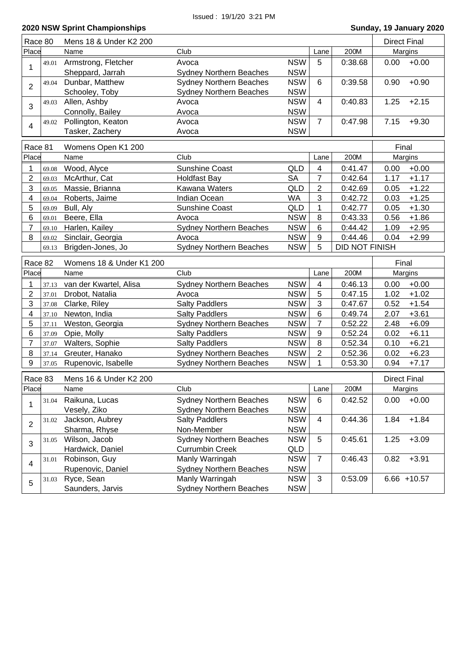| Race 80                 |       | Mens 18 & Under K2 200   |                                |            |                         |                       | <b>Direct Final</b> |                |
|-------------------------|-------|--------------------------|--------------------------------|------------|-------------------------|-----------------------|---------------------|----------------|
| Place                   |       | Name                     | Club                           |            | Lane                    | 200M                  |                     | Margins        |
|                         | 49.01 | Armstrong, Fletcher      | Avoca                          | <b>NSW</b> | 5                       | 0:38.68               | 0.00                | $+0.00$        |
| 1                       |       | Sheppard, Jarrah         | <b>Sydney Northern Beaches</b> | <b>NSW</b> |                         |                       |                     |                |
|                         | 49.04 | Dunbar, Matthew          | <b>Sydney Northern Beaches</b> | <b>NSW</b> | 6                       | 0:39.58               | 0.90                | $+0.90$        |
| $\overline{2}$          |       | Schooley, Toby           | <b>Sydney Northern Beaches</b> | <b>NSW</b> |                         |                       |                     |                |
|                         | 49.03 | Allen, Ashby             | Avoca                          | <b>NSW</b> | $\overline{4}$          | 0:40.83               | 1.25                | $+2.15$        |
| 3                       |       | Connolly, Bailey         | Avoca                          | <b>NSW</b> |                         |                       |                     |                |
|                         | 49.02 | Pollington, Keaton       | Avoca                          | <b>NSW</b> | $\overline{7}$          | 0:47.98               | 7.15                | $+9.30$        |
| $\overline{4}$          |       | Tasker, Zachery          | Avoca                          | <b>NSW</b> |                         |                       |                     |                |
|                         |       |                          |                                |            |                         |                       |                     |                |
| Race 81                 |       | Womens Open K1 200       |                                |            |                         |                       | Final               |                |
| Place                   |       | Name                     | Club                           |            | Lane                    | 200M                  |                     | Margins        |
| 1                       | 69.08 | Wood, Alyce              | <b>Sunshine Coast</b>          | QLD        | 4                       | 0:41.47               | 0.00                | $+0.00$        |
| $\overline{2}$          | 69.03 | McArthur, Cat            | <b>Holdfast Bay</b>            | <b>SA</b>  | 7                       | 0:42.64               | 1.17                | $+1.17$        |
| 3                       | 69.05 | Massie, Brianna          | Kawana Waters                  | QLD        | $\overline{2}$          | 0:42.69               | 0.05                | $+1.22$        |
| 4                       | 69.04 | Roberts, Jaime           | Indian Ocean                   | <b>WA</b>  | 3                       | 0:42.72               | 0.03                | $+1.25$        |
| 5                       | 69.09 | Bull, Aly                | Sunshine Coast                 | <b>QLD</b> | 1                       | 0:42.77               | 0.05                | $+1.30$        |
| 6                       | 69.01 | Beere, Ella              | Avoca                          | <b>NSW</b> | 8                       | 0:43.33               | 0.56                | $+1.86$        |
| $\overline{7}$          | 69.10 | Harlen, Kailey           | Sydney Northern Beaches        | <b>NSW</b> | 6                       | 0:44.42               | 1.09                | $+2.95$        |
| 8                       | 69.02 | Sinclair, Georgia        | Avoca                          | <b>NSW</b> | 9                       | 0:44.46               | 0.04                | $+2.99$        |
|                         | 69.13 | Brigden-Jones, Jo        | <b>Sydney Northern Beaches</b> | <b>NSW</b> | 5                       | <b>DID NOT FINISH</b> |                     |                |
| Race 82                 |       | Womens 18 & Under K1 200 |                                |            |                         |                       | Final               |                |
| Place                   |       | Name                     | Club                           |            | Lane                    | 200M                  |                     | Margins        |
| 1                       | 37.13 | van der Kwartel, Alisa   | <b>Sydney Northern Beaches</b> | <b>NSW</b> | $\overline{\mathbf{4}}$ | 0:46.13               | 0.00                | $+0.00$        |
| $\overline{2}$          | 37.01 | Drobot, Natalia          | Avoca                          | <b>NSW</b> | 5                       | 0:47.15               | 1.02                | $+1.02$        |
| 3                       |       |                          | <b>Salty Paddlers</b>          | <b>NSW</b> | $\mathbf{3}$            |                       | 0.52                | $+1.54$        |
| $\overline{\mathbf{4}}$ | 37.08 | Clarke, Riley            | <b>Salty Paddlers</b>          | <b>NSW</b> | 6                       | 0:47.67<br>0:49.74    | 2.07                | $+3.61$        |
|                         | 37.10 | Newton, India            |                                |            | $\overline{7}$          |                       |                     |                |
| 5                       | 37.11 | Weston, Georgia          | <b>Sydney Northern Beaches</b> | <b>NSW</b> |                         | 0:52.22               | 2.48                | $+6.09$        |
| 6                       | 37.09 | Opie, Molly              | <b>Salty Paddlers</b>          | <b>NSW</b> | 9                       | 0:52.24               | 0.02                | $+6.11$        |
| $\overline{7}$          | 37.07 | Walters, Sophie          | <b>Salty Paddlers</b>          | <b>NSW</b> | 8                       | 0:52.34               | 0.10                | $+6.21$        |
| 8                       | 37.14 | Greuter, Hanako          | <b>Sydney Northern Beaches</b> | <b>NSW</b> | $\overline{2}$          | 0:52.36               | 0.02                | $+6.23$        |
| 9                       | 37.05 | Rupenovic, Isabelle      | Sydney Northern Beaches        | <b>NSW</b> | 1                       | 0:53.30               | 0.94                | $+7.17$        |
| Race 83                 |       | Mens 16 & Under K2 200   |                                |            |                         |                       | <b>Direct Final</b> |                |
| Place                   |       | Name                     | Club                           |            | Lane                    | 200M                  |                     | <b>Margins</b> |
|                         | 31.04 | Raikuna, Lucas           | <b>Sydney Northern Beaches</b> | <b>NSW</b> | 6                       | 0:42.52               | 0.00                | $+0.00$        |
| 1                       |       | Vesely, Ziko             | <b>Sydney Northern Beaches</b> | <b>NSW</b> |                         |                       |                     |                |
|                         | 31.02 | Jackson, Aubrey          | <b>Salty Paddlers</b>          | <b>NSW</b> | 4                       | 0:44.36               | 1.84                | $+1.84$        |
| $\overline{2}$          |       | Sharma, Rhyse            | Non-Member                     | <b>NSW</b> |                         |                       |                     |                |
|                         | 31.05 | Wilson, Jacob            | Sydney Northern Beaches        | <b>NSW</b> | 5                       | 0:45.61               | 1.25                | $+3.09$        |
| 3                       |       | Hardwick, Daniel         | <b>Currumbin Creek</b>         | QLD        |                         |                       |                     |                |
|                         | 31.01 | Robinson, Guy            | Manly Warringah                | <b>NSW</b> | $\overline{7}$          | 0:46.43               | 0.82                | $+3.91$        |
| 4                       |       | Rupenovic, Daniel        | <b>Sydney Northern Beaches</b> | <b>NSW</b> |                         |                       |                     |                |
|                         | 31.03 | Ryce, Sean               | Manly Warringah                | <b>NSW</b> | 3                       | 0:53.09               |                     | $6.66 + 10.57$ |
| 5                       |       | Saunders, Jarvis         | <b>Sydney Northern Beaches</b> | <b>NSW</b> |                         |                       |                     |                |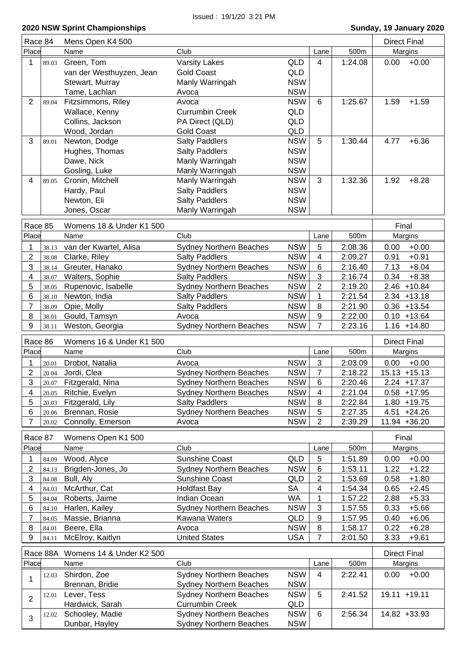| Race 84                 |          | Mens Open K4 500                  |                                                                  |                          |                |         | <b>Direct Final</b> |
|-------------------------|----------|-----------------------------------|------------------------------------------------------------------|--------------------------|----------------|---------|---------------------|
| Place                   |          | Name                              | Club                                                             |                          | Lane           | 500m    | Margins             |
| 1                       | 89.03    | Green, Tom                        | <b>Varsity Lakes</b>                                             | <b>QLD</b>               | $\overline{4}$ | 1:24.08 | $+0.00$<br>0.00     |
|                         |          | van der Westhuyzen, Jean          | <b>Gold Coast</b>                                                | QLD                      |                |         |                     |
|                         |          | Stewart, Murray                   | Manly Warringah                                                  | <b>NSW</b>               |                |         |                     |
|                         |          | Tame, Lachlan                     | Avoca                                                            | <b>NSW</b>               |                |         |                     |
| $\overline{2}$          | 89.04    | Fitzsimmons, Riley                | Avoca                                                            | <b>NSW</b>               | 6              | 1:25.67 | 1.59<br>$+1.59$     |
|                         |          | Wallace, Kenny                    | <b>Currumbin Creek</b>                                           | QLD                      |                |         |                     |
|                         |          | Collins, Jackson                  | PA Direct (QLD)                                                  | QLD                      |                |         |                     |
|                         |          | Wood, Jordan                      | <b>Gold Coast</b>                                                | QLD                      |                |         |                     |
| 3                       | 89.01    | Newton, Dodge                     | <b>Salty Paddlers</b>                                            | <b>NSW</b>               | 5              | 1:30.44 | 4.77<br>$+6.36$     |
|                         |          | Hughes, Thomas                    | <b>Salty Paddlers</b>                                            | <b>NSW</b>               |                |         |                     |
|                         |          | Dawe, Nick                        | Manly Warringah                                                  | <b>NSW</b>               |                |         |                     |
|                         |          | Gosling, Luke                     | Manly Warringah                                                  | <b>NSW</b>               |                |         |                     |
| 4                       | 89.05    | Cronin, Mitchell                  | Manly Warringah                                                  | <b>NSW</b>               | 3              | 1:32.36 | 1.92<br>$+8.28$     |
|                         |          | Hardy, Paul                       | <b>Salty Paddlers</b>                                            | <b>NSW</b>               |                |         |                     |
|                         |          | Newton, Eli                       | <b>Salty Paddlers</b>                                            | <b>NSW</b>               |                |         |                     |
|                         |          | Jones, Oscar                      | Manly Warringah                                                  | <b>NSW</b>               |                |         |                     |
|                         |          |                                   |                                                                  |                          |                |         |                     |
| Race 85                 |          | Womens 18 & Under K1 500          |                                                                  |                          |                |         | Final               |
| Place                   |          | Name                              | Club                                                             |                          | Lane           | 500m    | Margins             |
| 1                       | 38.13    | van der Kwartel, Alisa            | <b>Sydney Northern Beaches</b>                                   | <b>NSW</b>               | $\overline{5}$ | 2:08.36 | 0.00<br>$+0.00$     |
| $\overline{2}$          | 38.08    | Clarke, Riley                     | <b>Salty Paddlers</b>                                            | <b>NSW</b>               | 4              | 2:09.27 | 0.91<br>$+0.91$     |
| 3                       | 38.14    | Greuter, Hanako                   | <b>Sydney Northern Beaches</b>                                   | <b>NSW</b>               | 6              | 2:16.40 | $+8.04$<br>7.13     |
| $\overline{\mathbf{4}}$ | 38.07    | Walters, Sophie                   | <b>Salty Paddlers</b>                                            | <b>NSW</b>               | 3              | 2:16.74 | $+8.38$<br>0.34     |
| 5                       | 38.05    | Rupenovic, Isabelle               | <b>Sydney Northern Beaches</b>                                   | <b>NSW</b>               | $\overline{2}$ | 2:19.20 | $2.46 + 10.84$      |
| 6                       | 38.10    | Newton, India                     | <b>Salty Paddlers</b>                                            | <b>NSW</b>               | 1              | 2:21.54 | $2.34 + 13.18$      |
| $\overline{7}$          | 38.09    | Opie, Molly                       | <b>Salty Paddlers</b>                                            | <b>NSW</b>               | 8              | 2:21.90 | $0.36 + 13.54$      |
| 8                       | 38.01    | Gould, Tamsyn                     | Avoca                                                            | <b>NSW</b>               | 9              | 2:22.00 | $0.10 + 13.64$      |
| 9                       | 38.11    | Weston, Georgia                   | <b>Sydney Northern Beaches</b>                                   | <b>NSW</b>               | $\overline{7}$ | 2:23.16 | $1.16 + 14.80$      |
| Race 86                 |          | Womens 16 & Under K1 500          |                                                                  |                          |                |         |                     |
| Place                   |          | Name                              | Club                                                             |                          | Lane           | 500m    | <b>Direct Final</b> |
|                         |          |                                   |                                                                  |                          |                |         | Margins             |
| 1                       | 20.01    | Drobot, Natalia                   | Avoca                                                            | <b>NSW</b>               | 3              | 2:03.09 | $+0.00$<br>0.00     |
| $\overline{2}$          | 20.04    | Jordi, Clea                       | <b>Sydney Northern Beaches</b>                                   | <b>NSW</b>               | 7              | 2:18.22 | $15.13 + 15.13$     |
| 3                       | 20.07    | Fitzgerald, Nina                  | <b>Sydney Northern Beaches</b>                                   | <b>NSW</b>               | 6              | 2:20.46 | $2.24 + 17.37$      |
| 4                       | 20.05    | Ritchie, Evelyn                   | Sydney Northern Beaches                                          | <b>NSW</b>               | 4              | 2:21.04 | $0.58 + 17.95$      |
| 5                       | 20.03    | Fitzgerald, Lily                  | <b>Salty Paddlers</b>                                            | <b>NSW</b>               | 8              | 2:22.84 | $1.80 + 19.75$      |
| 6                       | 20.06    | Brennan, Rosie                    | <b>Sydney Northern Beaches</b>                                   | <b>NSW</b>               |                |         |                     |
| $\overline{7}$          | 20.02    |                                   |                                                                  |                          | 5              | 2:27.35 | $4.51 + 24.26$      |
| Race 87                 |          | Connolly, Emerson                 | Avoca                                                            | <b>NSW</b>               | $\overline{2}$ | 2:39.29 | 11.94 +36.20        |
|                         |          |                                   |                                                                  |                          |                |         | Final               |
| Place                   |          | Womens Open K1 500<br>Name        | Club                                                             |                          | Lane           | 500m    | Margins             |
|                         |          |                                   |                                                                  |                          |                |         |                     |
| 1                       | 84.09    | Wood, Alyce                       | <b>Sunshine Coast</b>                                            | <b>QLD</b>               | 5              | 1:51.89 | 0.00<br>$+0.00$     |
| $\overline{c}$          | 84.13    | Brigden-Jones, Jo                 | <b>Sydney Northern Beaches</b>                                   | <b>NSW</b>               | $\,6$          | 1:53.11 | 1.22<br>$+1.22$     |
| 3                       | 84.08    | Bull, Aly                         | Sunshine Coast                                                   | QLD                      | $\overline{2}$ | 1:53.69 | 0.58<br>$+1.80$     |
| $\overline{\mathbf{4}}$ | 84.03    | McArthur, Cat                     | <b>Holdfast Bay</b>                                              | <b>SA</b>                | 4              | 1:54.34 | 0.65<br>$+2.45$     |
| 5                       | 84.04    | Roberts, Jaime                    | Indian Ocean                                                     | <b>WA</b>                | 1              | 1:57.22 | 2.88<br>$+5.33$     |
| 6                       | 84.10    | Harlen, Kailey                    | <b>Sydney Northern Beaches</b>                                   | <b>NSW</b>               | 3              | 1:57.55 | 0.33<br>$+5.66$     |
| $\overline{7}$          | 84.05    | Massie, Brianna                   | Kawana Waters                                                    | QLD                      | 9              | 1:57.95 | 0.40<br>$+6.06$     |
| 8                       | 84.01    | Beere, Ella                       | Avoca                                                            | <b>NSW</b>               | 8              | 1:58.17 | 0.22<br>$+6.28$     |
| 9                       | 84.11    | McElroy, Kaitlyn                  | <b>United States</b>                                             | USA                      | 7              | 2:01.50 | 3.33<br>$+9.61$     |
|                         | Race 88A | Womens 14 & Under K2 500          |                                                                  |                          |                |         | <b>Direct Final</b> |
| Place                   |          | Name                              | Club                                                             |                          | Lane           | 500m    | Margins             |
| 1                       | 12.03    | Shirdon, Zoe                      | <b>Sydney Northern Beaches</b>                                   | <b>NSW</b>               | 4              | 2:22.41 | $+0.00$<br>0.00     |
|                         |          | Brennan, Bridie                   | <b>Sydney Northern Beaches</b>                                   | <b>NSW</b>               |                |         |                     |
|                         | 12.01    | Lever, Tess                       | <b>Sydney Northern Beaches</b>                                   | <b>NSW</b>               | 5              | 2:41.52 | 19.11 +19.11        |
| $\overline{2}$          |          | Hardwick, Sarah                   | <b>Currumbin Creek</b>                                           | QLD                      |                |         |                     |
| 3                       | 12.02    | Schooley, Madie<br>Dunbar, Hayley | <b>Sydney Northern Beaches</b><br><b>Sydney Northern Beaches</b> | <b>NSW</b><br><b>NSW</b> | 6              | 2:56.34 | 14.82 +33.93        |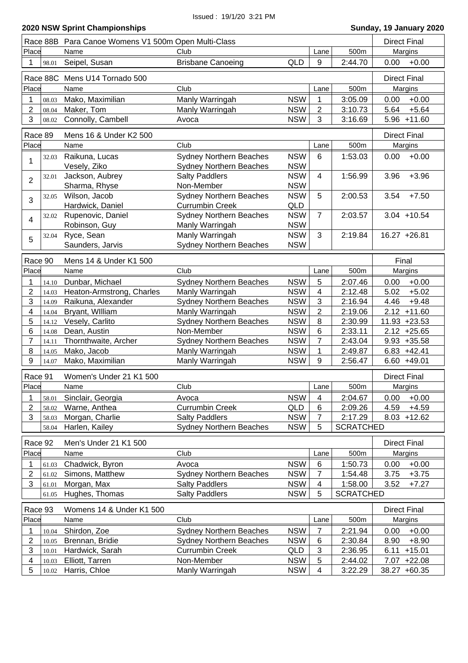Issued : 19/1/20 3:21 PM

| Race 88B Para Canoe Womens V1 500m Open Multi-Class<br><b>Direct Final</b><br>Place<br>Club<br>500m<br>Margins<br>Name<br>Lane<br>Seipel, Susan<br><b>Brisbane Canoeing</b><br><b>QLD</b><br>$9\,$<br>2:44.70<br>$+0.00$<br>0.00<br>1<br>98.01<br>Race 88C Mens U14 Tornado 500<br><b>Direct Final</b><br>Place<br>Club<br>500m<br>Name<br>Lane<br>Margins<br>Mako, Maximilian<br>Manly Warringah<br><b>NSW</b><br>$+0.00$<br>3:05.09<br>0.00<br>1<br>08.03<br>$\overline{2}$<br>Maker, Tom<br><b>NSW</b><br>2<br>3:10.73<br>5.64<br>$+5.64$<br>Manly Warringah<br>08.04<br>3<br><b>NSW</b><br>Connolly, Cambell<br>3<br>3:16.69<br>$5.96 + 11.60$<br>Avoca<br>08.02<br>Race 89<br>Mens 16 & Under K2 500<br><b>Direct Final</b><br>Place<br>Club<br>500m<br>Margins<br>Name<br>Lane<br><b>NSW</b><br>Raikuna, Lucas<br><b>Sydney Northern Beaches</b><br>1:53.03<br>0.00<br>$+0.00$<br>6<br>32.03<br>Vesely, Ziko<br><b>NSW</b><br><b>Sydney Northern Beaches</b><br>Jackson, Aubrey<br><b>NSW</b><br>$+3.96$<br><b>Salty Paddlers</b><br>1:56.99<br>3.96<br>$\overline{4}$<br>32.01<br>2<br><b>NSW</b><br>Sharma, Rhyse<br>Non-Member<br>Wilson, Jacob<br>Sydney Northern Beaches<br><b>NSW</b><br>$+7.50$<br>5<br>2:00.53<br>3.54<br>32.05<br>3<br><b>Currumbin Creek</b><br><b>QLD</b><br>Hardwick, Daniel<br>$\overline{7}$<br>Rupenovic, Daniel<br><b>Sydney Northern Beaches</b><br><b>NSW</b><br>2:03.57<br>$3.04 + 10.54$<br>32.02<br>4<br><b>NSW</b><br>Robinson, Guy<br>Manly Warringah<br>Ryce, Sean<br>Manly Warringah<br><b>NSW</b><br>3<br>$16.27 + 26.81$<br>2:19.84<br>32.04<br>5<br>Saunders, Jarvis<br><b>Sydney Northern Beaches</b><br><b>NSW</b><br>Race 90<br>Mens 14 & Under K1 500<br>Final<br>Place<br>Name<br>Club<br>500m<br>Margins<br>Lane<br><b>NSW</b><br>5<br>Dunbar, Michael<br><b>Sydney Northern Beaches</b><br>2:07.46<br>0.00<br>$+0.00$<br>1<br>14.10<br>$\overline{2}$<br><b>NSW</b><br>$+5.02$<br>Heaton-Armstrong, Charles<br>Manly Warringah<br>4<br>2:12.48<br>5.02<br>14.03<br>3<br>3<br>Raikuna, Alexander<br><b>Sydney Northern Beaches</b><br><b>NSW</b><br>$+9.48$<br>2:16.94<br>4.46<br>14.09<br>4<br><b>NSW</b><br>$\overline{2}$<br>$2.12 + 11.60$<br>Bryant, William<br>Manly Warringah<br>2:19.06<br>14.04<br><b>Sydney Northern Beaches</b><br>5<br>Vesely, Carlito<br><b>NSW</b><br>8<br>11.93 +23.53<br>2:30.99<br>14.12<br>6<br>Dean, Austin<br>Non-Member<br><b>NSW</b><br>6<br>2:33.11<br>$2.12 +25.65$<br>14.08<br><b>NSW</b><br>$9.93 + 35.58$<br>7<br>Thornthwaite, Archer<br><b>Sydney Northern Beaches</b><br>$\overline{7}$<br>2:43.04<br>14.11<br><b>NSW</b><br>8<br>Mako, Jacob<br>Manly Warringah<br>1<br>2:49.87<br>$6.83 +42.41$<br>14.05<br>9<br>Mako, Maximilian<br><b>NSW</b><br>Manly Warringah<br>9<br>2:56.47<br>$6.60 + 49.01$<br>14.07<br>Race 91<br>Women's Under 21 K1 500<br><b>Direct Final</b><br>Club<br>Lane<br>500m<br>Margins<br>Place<br>Name<br><b>NSW</b><br>2:04.67<br>$+0.00$<br>1<br>Avoca<br>4<br>0.00<br>Sinclair, Georgia<br>58.01<br>$\overline{2}$<br>Warne, Anthea<br><b>Currumbin Creek</b><br>QLD<br>$\,6$<br>4.59<br>$+4.59$<br>2:09.26<br>58.02<br>3<br><b>NSW</b><br>$\overline{7}$<br>Morgan, Charlie<br><b>Salty Paddlers</b><br>2:17.29<br>8.03<br>$+12.62$<br>58.03<br><b>NSW</b><br>5<br><b>SCRATCHED</b><br>Harlen, Kailey<br><b>Sydney Northern Beaches</b><br>58.04<br><b>Direct Final</b><br>Race 92<br>Men's Under 21 K1 500<br>Place<br>Club<br>500m<br>Name<br>Margins<br>Lane<br><b>NSW</b><br>1:50.73<br>$+0.00$<br>1<br>Chadwick, Byron<br>Avoca<br>$6\phantom{1}6$<br>0.00<br>61.03<br>$\overline{c}$<br><b>Sydney Northern Beaches</b><br><b>NSW</b><br>$\overline{7}$<br>3.75<br>Simons, Matthew<br>1:54.48<br>$+3.75$<br>61.02<br>3<br><b>NSW</b><br>1:58.00<br>3.52<br>Morgan, Max<br><b>Salty Paddlers</b><br>$\overline{4}$<br>$+7.27$<br>61.01<br><b>Salty Paddlers</b><br><b>NSW</b><br>5<br><b>SCRATCHED</b><br>Hughes, Thomas<br>61.05<br>Race 93<br>Womens 14 & Under K1 500<br><b>Direct Final</b><br>Place<br>Club<br>Name<br>500m<br>Lane<br>Margins<br><b>NSW</b><br>$\overline{7}$<br>Shirdon, Zoe<br><b>Sydney Northern Beaches</b><br>2:21.94<br>0.00<br>$+0.00$<br>1<br>10.04<br>$\overline{c}$<br><b>NSW</b><br>$\,6$<br>Brennan, Bridie<br><b>Sydney Northern Beaches</b><br>2:30.84<br>8.90<br>$+8.90$<br>10.05<br>3<br>$\ensuremath{\mathsf{3}}$<br><b>Currumbin Creek</b><br>2:36.95<br>6.11<br>$+15.01$<br>Hardwick, Sarah<br>QLD<br>10.01<br><b>NSW</b><br>Elliott, Tarren<br>Non-Member<br>5<br>2:44.02<br>7.07<br>$+22.08$<br>4<br>10.03 |  |  |  |  |
|-----------------------------------------------------------------------------------------------------------------------------------------------------------------------------------------------------------------------------------------------------------------------------------------------------------------------------------------------------------------------------------------------------------------------------------------------------------------------------------------------------------------------------------------------------------------------------------------------------------------------------------------------------------------------------------------------------------------------------------------------------------------------------------------------------------------------------------------------------------------------------------------------------------------------------------------------------------------------------------------------------------------------------------------------------------------------------------------------------------------------------------------------------------------------------------------------------------------------------------------------------------------------------------------------------------------------------------------------------------------------------------------------------------------------------------------------------------------------------------------------------------------------------------------------------------------------------------------------------------------------------------------------------------------------------------------------------------------------------------------------------------------------------------------------------------------------------------------------------------------------------------------------------------------------------------------------------------------------------------------------------------------------------------------------------------------------------------------------------------------------------------------------------------------------------------------------------------------------------------------------------------------------------------------------------------------------------------------------------------------------------------------------------------------------------------------------------------------------------------------------------------------------------------------------------------------------------------------------------------------------------------------------------------------------------------------------------------------------------------------------------------------------------------------------------------------------------------------------------------------------------------------------------------------------------------------------------------------------------------------------------------------------------------------------------------------------------------------------------------------------------------------------------------------------------------------------------------------------------------------------------------------------------------------------------------------------------------------------------------------------------------------------------------------------------------------------------------------------------------------------------------------------------------------------------------------------------------------------------------------------------------------------------------------------------------------------------------------------------------------------------------------------------------------------------------------------------------------------------------------------------------------------------------------------------------------------------------------------------------------------------------------------------------------------------------------------------------------------------------------------------------------------------------------------------------------------------------------------------------------------------------------------------------------------------------------------------------------------------------------------------------------------------------------------------------------------------------------------------------------------------------------------------------------------------------------------------------------------|--|--|--|--|
|                                                                                                                                                                                                                                                                                                                                                                                                                                                                                                                                                                                                                                                                                                                                                                                                                                                                                                                                                                                                                                                                                                                                                                                                                                                                                                                                                                                                                                                                                                                                                                                                                                                                                                                                                                                                                                                                                                                                                                                                                                                                                                                                                                                                                                                                                                                                                                                                                                                                                                                                                                                                                                                                                                                                                                                                                                                                                                                                                                                                                                                                                                                                                                                                                                                                                                                                                                                                                                                                                                                                                                                                                                                                                                                                                                                                                                                                                                                                                                                                                                                                                                                                                                                                                                                                                                                                                                                                                                                                                                                                                                                               |  |  |  |  |
|                                                                                                                                                                                                                                                                                                                                                                                                                                                                                                                                                                                                                                                                                                                                                                                                                                                                                                                                                                                                                                                                                                                                                                                                                                                                                                                                                                                                                                                                                                                                                                                                                                                                                                                                                                                                                                                                                                                                                                                                                                                                                                                                                                                                                                                                                                                                                                                                                                                                                                                                                                                                                                                                                                                                                                                                                                                                                                                                                                                                                                                                                                                                                                                                                                                                                                                                                                                                                                                                                                                                                                                                                                                                                                                                                                                                                                                                                                                                                                                                                                                                                                                                                                                                                                                                                                                                                                                                                                                                                                                                                                                               |  |  |  |  |
|                                                                                                                                                                                                                                                                                                                                                                                                                                                                                                                                                                                                                                                                                                                                                                                                                                                                                                                                                                                                                                                                                                                                                                                                                                                                                                                                                                                                                                                                                                                                                                                                                                                                                                                                                                                                                                                                                                                                                                                                                                                                                                                                                                                                                                                                                                                                                                                                                                                                                                                                                                                                                                                                                                                                                                                                                                                                                                                                                                                                                                                                                                                                                                                                                                                                                                                                                                                                                                                                                                                                                                                                                                                                                                                                                                                                                                                                                                                                                                                                                                                                                                                                                                                                                                                                                                                                                                                                                                                                                                                                                                                               |  |  |  |  |
|                                                                                                                                                                                                                                                                                                                                                                                                                                                                                                                                                                                                                                                                                                                                                                                                                                                                                                                                                                                                                                                                                                                                                                                                                                                                                                                                                                                                                                                                                                                                                                                                                                                                                                                                                                                                                                                                                                                                                                                                                                                                                                                                                                                                                                                                                                                                                                                                                                                                                                                                                                                                                                                                                                                                                                                                                                                                                                                                                                                                                                                                                                                                                                                                                                                                                                                                                                                                                                                                                                                                                                                                                                                                                                                                                                                                                                                                                                                                                                                                                                                                                                                                                                                                                                                                                                                                                                                                                                                                                                                                                                                               |  |  |  |  |
|                                                                                                                                                                                                                                                                                                                                                                                                                                                                                                                                                                                                                                                                                                                                                                                                                                                                                                                                                                                                                                                                                                                                                                                                                                                                                                                                                                                                                                                                                                                                                                                                                                                                                                                                                                                                                                                                                                                                                                                                                                                                                                                                                                                                                                                                                                                                                                                                                                                                                                                                                                                                                                                                                                                                                                                                                                                                                                                                                                                                                                                                                                                                                                                                                                                                                                                                                                                                                                                                                                                                                                                                                                                                                                                                                                                                                                                                                                                                                                                                                                                                                                                                                                                                                                                                                                                                                                                                                                                                                                                                                                                               |  |  |  |  |
|                                                                                                                                                                                                                                                                                                                                                                                                                                                                                                                                                                                                                                                                                                                                                                                                                                                                                                                                                                                                                                                                                                                                                                                                                                                                                                                                                                                                                                                                                                                                                                                                                                                                                                                                                                                                                                                                                                                                                                                                                                                                                                                                                                                                                                                                                                                                                                                                                                                                                                                                                                                                                                                                                                                                                                                                                                                                                                                                                                                                                                                                                                                                                                                                                                                                                                                                                                                                                                                                                                                                                                                                                                                                                                                                                                                                                                                                                                                                                                                                                                                                                                                                                                                                                                                                                                                                                                                                                                                                                                                                                                                               |  |  |  |  |
|                                                                                                                                                                                                                                                                                                                                                                                                                                                                                                                                                                                                                                                                                                                                                                                                                                                                                                                                                                                                                                                                                                                                                                                                                                                                                                                                                                                                                                                                                                                                                                                                                                                                                                                                                                                                                                                                                                                                                                                                                                                                                                                                                                                                                                                                                                                                                                                                                                                                                                                                                                                                                                                                                                                                                                                                                                                                                                                                                                                                                                                                                                                                                                                                                                                                                                                                                                                                                                                                                                                                                                                                                                                                                                                                                                                                                                                                                                                                                                                                                                                                                                                                                                                                                                                                                                                                                                                                                                                                                                                                                                                               |  |  |  |  |
|                                                                                                                                                                                                                                                                                                                                                                                                                                                                                                                                                                                                                                                                                                                                                                                                                                                                                                                                                                                                                                                                                                                                                                                                                                                                                                                                                                                                                                                                                                                                                                                                                                                                                                                                                                                                                                                                                                                                                                                                                                                                                                                                                                                                                                                                                                                                                                                                                                                                                                                                                                                                                                                                                                                                                                                                                                                                                                                                                                                                                                                                                                                                                                                                                                                                                                                                                                                                                                                                                                                                                                                                                                                                                                                                                                                                                                                                                                                                                                                                                                                                                                                                                                                                                                                                                                                                                                                                                                                                                                                                                                                               |  |  |  |  |
|                                                                                                                                                                                                                                                                                                                                                                                                                                                                                                                                                                                                                                                                                                                                                                                                                                                                                                                                                                                                                                                                                                                                                                                                                                                                                                                                                                                                                                                                                                                                                                                                                                                                                                                                                                                                                                                                                                                                                                                                                                                                                                                                                                                                                                                                                                                                                                                                                                                                                                                                                                                                                                                                                                                                                                                                                                                                                                                                                                                                                                                                                                                                                                                                                                                                                                                                                                                                                                                                                                                                                                                                                                                                                                                                                                                                                                                                                                                                                                                                                                                                                                                                                                                                                                                                                                                                                                                                                                                                                                                                                                                               |  |  |  |  |
|                                                                                                                                                                                                                                                                                                                                                                                                                                                                                                                                                                                                                                                                                                                                                                                                                                                                                                                                                                                                                                                                                                                                                                                                                                                                                                                                                                                                                                                                                                                                                                                                                                                                                                                                                                                                                                                                                                                                                                                                                                                                                                                                                                                                                                                                                                                                                                                                                                                                                                                                                                                                                                                                                                                                                                                                                                                                                                                                                                                                                                                                                                                                                                                                                                                                                                                                                                                                                                                                                                                                                                                                                                                                                                                                                                                                                                                                                                                                                                                                                                                                                                                                                                                                                                                                                                                                                                                                                                                                                                                                                                                               |  |  |  |  |
|                                                                                                                                                                                                                                                                                                                                                                                                                                                                                                                                                                                                                                                                                                                                                                                                                                                                                                                                                                                                                                                                                                                                                                                                                                                                                                                                                                                                                                                                                                                                                                                                                                                                                                                                                                                                                                                                                                                                                                                                                                                                                                                                                                                                                                                                                                                                                                                                                                                                                                                                                                                                                                                                                                                                                                                                                                                                                                                                                                                                                                                                                                                                                                                                                                                                                                                                                                                                                                                                                                                                                                                                                                                                                                                                                                                                                                                                                                                                                                                                                                                                                                                                                                                                                                                                                                                                                                                                                                                                                                                                                                                               |  |  |  |  |
|                                                                                                                                                                                                                                                                                                                                                                                                                                                                                                                                                                                                                                                                                                                                                                                                                                                                                                                                                                                                                                                                                                                                                                                                                                                                                                                                                                                                                                                                                                                                                                                                                                                                                                                                                                                                                                                                                                                                                                                                                                                                                                                                                                                                                                                                                                                                                                                                                                                                                                                                                                                                                                                                                                                                                                                                                                                                                                                                                                                                                                                                                                                                                                                                                                                                                                                                                                                                                                                                                                                                                                                                                                                                                                                                                                                                                                                                                                                                                                                                                                                                                                                                                                                                                                                                                                                                                                                                                                                                                                                                                                                               |  |  |  |  |
|                                                                                                                                                                                                                                                                                                                                                                                                                                                                                                                                                                                                                                                                                                                                                                                                                                                                                                                                                                                                                                                                                                                                                                                                                                                                                                                                                                                                                                                                                                                                                                                                                                                                                                                                                                                                                                                                                                                                                                                                                                                                                                                                                                                                                                                                                                                                                                                                                                                                                                                                                                                                                                                                                                                                                                                                                                                                                                                                                                                                                                                                                                                                                                                                                                                                                                                                                                                                                                                                                                                                                                                                                                                                                                                                                                                                                                                                                                                                                                                                                                                                                                                                                                                                                                                                                                                                                                                                                                                                                                                                                                                               |  |  |  |  |
|                                                                                                                                                                                                                                                                                                                                                                                                                                                                                                                                                                                                                                                                                                                                                                                                                                                                                                                                                                                                                                                                                                                                                                                                                                                                                                                                                                                                                                                                                                                                                                                                                                                                                                                                                                                                                                                                                                                                                                                                                                                                                                                                                                                                                                                                                                                                                                                                                                                                                                                                                                                                                                                                                                                                                                                                                                                                                                                                                                                                                                                                                                                                                                                                                                                                                                                                                                                                                                                                                                                                                                                                                                                                                                                                                                                                                                                                                                                                                                                                                                                                                                                                                                                                                                                                                                                                                                                                                                                                                                                                                                                               |  |  |  |  |
|                                                                                                                                                                                                                                                                                                                                                                                                                                                                                                                                                                                                                                                                                                                                                                                                                                                                                                                                                                                                                                                                                                                                                                                                                                                                                                                                                                                                                                                                                                                                                                                                                                                                                                                                                                                                                                                                                                                                                                                                                                                                                                                                                                                                                                                                                                                                                                                                                                                                                                                                                                                                                                                                                                                                                                                                                                                                                                                                                                                                                                                                                                                                                                                                                                                                                                                                                                                                                                                                                                                                                                                                                                                                                                                                                                                                                                                                                                                                                                                                                                                                                                                                                                                                                                                                                                                                                                                                                                                                                                                                                                                               |  |  |  |  |
|                                                                                                                                                                                                                                                                                                                                                                                                                                                                                                                                                                                                                                                                                                                                                                                                                                                                                                                                                                                                                                                                                                                                                                                                                                                                                                                                                                                                                                                                                                                                                                                                                                                                                                                                                                                                                                                                                                                                                                                                                                                                                                                                                                                                                                                                                                                                                                                                                                                                                                                                                                                                                                                                                                                                                                                                                                                                                                                                                                                                                                                                                                                                                                                                                                                                                                                                                                                                                                                                                                                                                                                                                                                                                                                                                                                                                                                                                                                                                                                                                                                                                                                                                                                                                                                                                                                                                                                                                                                                                                                                                                                               |  |  |  |  |
|                                                                                                                                                                                                                                                                                                                                                                                                                                                                                                                                                                                                                                                                                                                                                                                                                                                                                                                                                                                                                                                                                                                                                                                                                                                                                                                                                                                                                                                                                                                                                                                                                                                                                                                                                                                                                                                                                                                                                                                                                                                                                                                                                                                                                                                                                                                                                                                                                                                                                                                                                                                                                                                                                                                                                                                                                                                                                                                                                                                                                                                                                                                                                                                                                                                                                                                                                                                                                                                                                                                                                                                                                                                                                                                                                                                                                                                                                                                                                                                                                                                                                                                                                                                                                                                                                                                                                                                                                                                                                                                                                                                               |  |  |  |  |
|                                                                                                                                                                                                                                                                                                                                                                                                                                                                                                                                                                                                                                                                                                                                                                                                                                                                                                                                                                                                                                                                                                                                                                                                                                                                                                                                                                                                                                                                                                                                                                                                                                                                                                                                                                                                                                                                                                                                                                                                                                                                                                                                                                                                                                                                                                                                                                                                                                                                                                                                                                                                                                                                                                                                                                                                                                                                                                                                                                                                                                                                                                                                                                                                                                                                                                                                                                                                                                                                                                                                                                                                                                                                                                                                                                                                                                                                                                                                                                                                                                                                                                                                                                                                                                                                                                                                                                                                                                                                                                                                                                                               |  |  |  |  |
|                                                                                                                                                                                                                                                                                                                                                                                                                                                                                                                                                                                                                                                                                                                                                                                                                                                                                                                                                                                                                                                                                                                                                                                                                                                                                                                                                                                                                                                                                                                                                                                                                                                                                                                                                                                                                                                                                                                                                                                                                                                                                                                                                                                                                                                                                                                                                                                                                                                                                                                                                                                                                                                                                                                                                                                                                                                                                                                                                                                                                                                                                                                                                                                                                                                                                                                                                                                                                                                                                                                                                                                                                                                                                                                                                                                                                                                                                                                                                                                                                                                                                                                                                                                                                                                                                                                                                                                                                                                                                                                                                                                               |  |  |  |  |
|                                                                                                                                                                                                                                                                                                                                                                                                                                                                                                                                                                                                                                                                                                                                                                                                                                                                                                                                                                                                                                                                                                                                                                                                                                                                                                                                                                                                                                                                                                                                                                                                                                                                                                                                                                                                                                                                                                                                                                                                                                                                                                                                                                                                                                                                                                                                                                                                                                                                                                                                                                                                                                                                                                                                                                                                                                                                                                                                                                                                                                                                                                                                                                                                                                                                                                                                                                                                                                                                                                                                                                                                                                                                                                                                                                                                                                                                                                                                                                                                                                                                                                                                                                                                                                                                                                                                                                                                                                                                                                                                                                                               |  |  |  |  |
|                                                                                                                                                                                                                                                                                                                                                                                                                                                                                                                                                                                                                                                                                                                                                                                                                                                                                                                                                                                                                                                                                                                                                                                                                                                                                                                                                                                                                                                                                                                                                                                                                                                                                                                                                                                                                                                                                                                                                                                                                                                                                                                                                                                                                                                                                                                                                                                                                                                                                                                                                                                                                                                                                                                                                                                                                                                                                                                                                                                                                                                                                                                                                                                                                                                                                                                                                                                                                                                                                                                                                                                                                                                                                                                                                                                                                                                                                                                                                                                                                                                                                                                                                                                                                                                                                                                                                                                                                                                                                                                                                                                               |  |  |  |  |
|                                                                                                                                                                                                                                                                                                                                                                                                                                                                                                                                                                                                                                                                                                                                                                                                                                                                                                                                                                                                                                                                                                                                                                                                                                                                                                                                                                                                                                                                                                                                                                                                                                                                                                                                                                                                                                                                                                                                                                                                                                                                                                                                                                                                                                                                                                                                                                                                                                                                                                                                                                                                                                                                                                                                                                                                                                                                                                                                                                                                                                                                                                                                                                                                                                                                                                                                                                                                                                                                                                                                                                                                                                                                                                                                                                                                                                                                                                                                                                                                                                                                                                                                                                                                                                                                                                                                                                                                                                                                                                                                                                                               |  |  |  |  |
|                                                                                                                                                                                                                                                                                                                                                                                                                                                                                                                                                                                                                                                                                                                                                                                                                                                                                                                                                                                                                                                                                                                                                                                                                                                                                                                                                                                                                                                                                                                                                                                                                                                                                                                                                                                                                                                                                                                                                                                                                                                                                                                                                                                                                                                                                                                                                                                                                                                                                                                                                                                                                                                                                                                                                                                                                                                                                                                                                                                                                                                                                                                                                                                                                                                                                                                                                                                                                                                                                                                                                                                                                                                                                                                                                                                                                                                                                                                                                                                                                                                                                                                                                                                                                                                                                                                                                                                                                                                                                                                                                                                               |  |  |  |  |
|                                                                                                                                                                                                                                                                                                                                                                                                                                                                                                                                                                                                                                                                                                                                                                                                                                                                                                                                                                                                                                                                                                                                                                                                                                                                                                                                                                                                                                                                                                                                                                                                                                                                                                                                                                                                                                                                                                                                                                                                                                                                                                                                                                                                                                                                                                                                                                                                                                                                                                                                                                                                                                                                                                                                                                                                                                                                                                                                                                                                                                                                                                                                                                                                                                                                                                                                                                                                                                                                                                                                                                                                                                                                                                                                                                                                                                                                                                                                                                                                                                                                                                                                                                                                                                                                                                                                                                                                                                                                                                                                                                                               |  |  |  |  |
|                                                                                                                                                                                                                                                                                                                                                                                                                                                                                                                                                                                                                                                                                                                                                                                                                                                                                                                                                                                                                                                                                                                                                                                                                                                                                                                                                                                                                                                                                                                                                                                                                                                                                                                                                                                                                                                                                                                                                                                                                                                                                                                                                                                                                                                                                                                                                                                                                                                                                                                                                                                                                                                                                                                                                                                                                                                                                                                                                                                                                                                                                                                                                                                                                                                                                                                                                                                                                                                                                                                                                                                                                                                                                                                                                                                                                                                                                                                                                                                                                                                                                                                                                                                                                                                                                                                                                                                                                                                                                                                                                                                               |  |  |  |  |
|                                                                                                                                                                                                                                                                                                                                                                                                                                                                                                                                                                                                                                                                                                                                                                                                                                                                                                                                                                                                                                                                                                                                                                                                                                                                                                                                                                                                                                                                                                                                                                                                                                                                                                                                                                                                                                                                                                                                                                                                                                                                                                                                                                                                                                                                                                                                                                                                                                                                                                                                                                                                                                                                                                                                                                                                                                                                                                                                                                                                                                                                                                                                                                                                                                                                                                                                                                                                                                                                                                                                                                                                                                                                                                                                                                                                                                                                                                                                                                                                                                                                                                                                                                                                                                                                                                                                                                                                                                                                                                                                                                                               |  |  |  |  |
|                                                                                                                                                                                                                                                                                                                                                                                                                                                                                                                                                                                                                                                                                                                                                                                                                                                                                                                                                                                                                                                                                                                                                                                                                                                                                                                                                                                                                                                                                                                                                                                                                                                                                                                                                                                                                                                                                                                                                                                                                                                                                                                                                                                                                                                                                                                                                                                                                                                                                                                                                                                                                                                                                                                                                                                                                                                                                                                                                                                                                                                                                                                                                                                                                                                                                                                                                                                                                                                                                                                                                                                                                                                                                                                                                                                                                                                                                                                                                                                                                                                                                                                                                                                                                                                                                                                                                                                                                                                                                                                                                                                               |  |  |  |  |
|                                                                                                                                                                                                                                                                                                                                                                                                                                                                                                                                                                                                                                                                                                                                                                                                                                                                                                                                                                                                                                                                                                                                                                                                                                                                                                                                                                                                                                                                                                                                                                                                                                                                                                                                                                                                                                                                                                                                                                                                                                                                                                                                                                                                                                                                                                                                                                                                                                                                                                                                                                                                                                                                                                                                                                                                                                                                                                                                                                                                                                                                                                                                                                                                                                                                                                                                                                                                                                                                                                                                                                                                                                                                                                                                                                                                                                                                                                                                                                                                                                                                                                                                                                                                                                                                                                                                                                                                                                                                                                                                                                                               |  |  |  |  |
|                                                                                                                                                                                                                                                                                                                                                                                                                                                                                                                                                                                                                                                                                                                                                                                                                                                                                                                                                                                                                                                                                                                                                                                                                                                                                                                                                                                                                                                                                                                                                                                                                                                                                                                                                                                                                                                                                                                                                                                                                                                                                                                                                                                                                                                                                                                                                                                                                                                                                                                                                                                                                                                                                                                                                                                                                                                                                                                                                                                                                                                                                                                                                                                                                                                                                                                                                                                                                                                                                                                                                                                                                                                                                                                                                                                                                                                                                                                                                                                                                                                                                                                                                                                                                                                                                                                                                                                                                                                                                                                                                                                               |  |  |  |  |
|                                                                                                                                                                                                                                                                                                                                                                                                                                                                                                                                                                                                                                                                                                                                                                                                                                                                                                                                                                                                                                                                                                                                                                                                                                                                                                                                                                                                                                                                                                                                                                                                                                                                                                                                                                                                                                                                                                                                                                                                                                                                                                                                                                                                                                                                                                                                                                                                                                                                                                                                                                                                                                                                                                                                                                                                                                                                                                                                                                                                                                                                                                                                                                                                                                                                                                                                                                                                                                                                                                                                                                                                                                                                                                                                                                                                                                                                                                                                                                                                                                                                                                                                                                                                                                                                                                                                                                                                                                                                                                                                                                                               |  |  |  |  |
|                                                                                                                                                                                                                                                                                                                                                                                                                                                                                                                                                                                                                                                                                                                                                                                                                                                                                                                                                                                                                                                                                                                                                                                                                                                                                                                                                                                                                                                                                                                                                                                                                                                                                                                                                                                                                                                                                                                                                                                                                                                                                                                                                                                                                                                                                                                                                                                                                                                                                                                                                                                                                                                                                                                                                                                                                                                                                                                                                                                                                                                                                                                                                                                                                                                                                                                                                                                                                                                                                                                                                                                                                                                                                                                                                                                                                                                                                                                                                                                                                                                                                                                                                                                                                                                                                                                                                                                                                                                                                                                                                                                               |  |  |  |  |
|                                                                                                                                                                                                                                                                                                                                                                                                                                                                                                                                                                                                                                                                                                                                                                                                                                                                                                                                                                                                                                                                                                                                                                                                                                                                                                                                                                                                                                                                                                                                                                                                                                                                                                                                                                                                                                                                                                                                                                                                                                                                                                                                                                                                                                                                                                                                                                                                                                                                                                                                                                                                                                                                                                                                                                                                                                                                                                                                                                                                                                                                                                                                                                                                                                                                                                                                                                                                                                                                                                                                                                                                                                                                                                                                                                                                                                                                                                                                                                                                                                                                                                                                                                                                                                                                                                                                                                                                                                                                                                                                                                                               |  |  |  |  |
|                                                                                                                                                                                                                                                                                                                                                                                                                                                                                                                                                                                                                                                                                                                                                                                                                                                                                                                                                                                                                                                                                                                                                                                                                                                                                                                                                                                                                                                                                                                                                                                                                                                                                                                                                                                                                                                                                                                                                                                                                                                                                                                                                                                                                                                                                                                                                                                                                                                                                                                                                                                                                                                                                                                                                                                                                                                                                                                                                                                                                                                                                                                                                                                                                                                                                                                                                                                                                                                                                                                                                                                                                                                                                                                                                                                                                                                                                                                                                                                                                                                                                                                                                                                                                                                                                                                                                                                                                                                                                                                                                                                               |  |  |  |  |
|                                                                                                                                                                                                                                                                                                                                                                                                                                                                                                                                                                                                                                                                                                                                                                                                                                                                                                                                                                                                                                                                                                                                                                                                                                                                                                                                                                                                                                                                                                                                                                                                                                                                                                                                                                                                                                                                                                                                                                                                                                                                                                                                                                                                                                                                                                                                                                                                                                                                                                                                                                                                                                                                                                                                                                                                                                                                                                                                                                                                                                                                                                                                                                                                                                                                                                                                                                                                                                                                                                                                                                                                                                                                                                                                                                                                                                                                                                                                                                                                                                                                                                                                                                                                                                                                                                                                                                                                                                                                                                                                                                                               |  |  |  |  |
|                                                                                                                                                                                                                                                                                                                                                                                                                                                                                                                                                                                                                                                                                                                                                                                                                                                                                                                                                                                                                                                                                                                                                                                                                                                                                                                                                                                                                                                                                                                                                                                                                                                                                                                                                                                                                                                                                                                                                                                                                                                                                                                                                                                                                                                                                                                                                                                                                                                                                                                                                                                                                                                                                                                                                                                                                                                                                                                                                                                                                                                                                                                                                                                                                                                                                                                                                                                                                                                                                                                                                                                                                                                                                                                                                                                                                                                                                                                                                                                                                                                                                                                                                                                                                                                                                                                                                                                                                                                                                                                                                                                               |  |  |  |  |
|                                                                                                                                                                                                                                                                                                                                                                                                                                                                                                                                                                                                                                                                                                                                                                                                                                                                                                                                                                                                                                                                                                                                                                                                                                                                                                                                                                                                                                                                                                                                                                                                                                                                                                                                                                                                                                                                                                                                                                                                                                                                                                                                                                                                                                                                                                                                                                                                                                                                                                                                                                                                                                                                                                                                                                                                                                                                                                                                                                                                                                                                                                                                                                                                                                                                                                                                                                                                                                                                                                                                                                                                                                                                                                                                                                                                                                                                                                                                                                                                                                                                                                                                                                                                                                                                                                                                                                                                                                                                                                                                                                                               |  |  |  |  |
|                                                                                                                                                                                                                                                                                                                                                                                                                                                                                                                                                                                                                                                                                                                                                                                                                                                                                                                                                                                                                                                                                                                                                                                                                                                                                                                                                                                                                                                                                                                                                                                                                                                                                                                                                                                                                                                                                                                                                                                                                                                                                                                                                                                                                                                                                                                                                                                                                                                                                                                                                                                                                                                                                                                                                                                                                                                                                                                                                                                                                                                                                                                                                                                                                                                                                                                                                                                                                                                                                                                                                                                                                                                                                                                                                                                                                                                                                                                                                                                                                                                                                                                                                                                                                                                                                                                                                                                                                                                                                                                                                                                               |  |  |  |  |
|                                                                                                                                                                                                                                                                                                                                                                                                                                                                                                                                                                                                                                                                                                                                                                                                                                                                                                                                                                                                                                                                                                                                                                                                                                                                                                                                                                                                                                                                                                                                                                                                                                                                                                                                                                                                                                                                                                                                                                                                                                                                                                                                                                                                                                                                                                                                                                                                                                                                                                                                                                                                                                                                                                                                                                                                                                                                                                                                                                                                                                                                                                                                                                                                                                                                                                                                                                                                                                                                                                                                                                                                                                                                                                                                                                                                                                                                                                                                                                                                                                                                                                                                                                                                                                                                                                                                                                                                                                                                                                                                                                                               |  |  |  |  |
|                                                                                                                                                                                                                                                                                                                                                                                                                                                                                                                                                                                                                                                                                                                                                                                                                                                                                                                                                                                                                                                                                                                                                                                                                                                                                                                                                                                                                                                                                                                                                                                                                                                                                                                                                                                                                                                                                                                                                                                                                                                                                                                                                                                                                                                                                                                                                                                                                                                                                                                                                                                                                                                                                                                                                                                                                                                                                                                                                                                                                                                                                                                                                                                                                                                                                                                                                                                                                                                                                                                                                                                                                                                                                                                                                                                                                                                                                                                                                                                                                                                                                                                                                                                                                                                                                                                                                                                                                                                                                                                                                                                               |  |  |  |  |
|                                                                                                                                                                                                                                                                                                                                                                                                                                                                                                                                                                                                                                                                                                                                                                                                                                                                                                                                                                                                                                                                                                                                                                                                                                                                                                                                                                                                                                                                                                                                                                                                                                                                                                                                                                                                                                                                                                                                                                                                                                                                                                                                                                                                                                                                                                                                                                                                                                                                                                                                                                                                                                                                                                                                                                                                                                                                                                                                                                                                                                                                                                                                                                                                                                                                                                                                                                                                                                                                                                                                                                                                                                                                                                                                                                                                                                                                                                                                                                                                                                                                                                                                                                                                                                                                                                                                                                                                                                                                                                                                                                                               |  |  |  |  |
|                                                                                                                                                                                                                                                                                                                                                                                                                                                                                                                                                                                                                                                                                                                                                                                                                                                                                                                                                                                                                                                                                                                                                                                                                                                                                                                                                                                                                                                                                                                                                                                                                                                                                                                                                                                                                                                                                                                                                                                                                                                                                                                                                                                                                                                                                                                                                                                                                                                                                                                                                                                                                                                                                                                                                                                                                                                                                                                                                                                                                                                                                                                                                                                                                                                                                                                                                                                                                                                                                                                                                                                                                                                                                                                                                                                                                                                                                                                                                                                                                                                                                                                                                                                                                                                                                                                                                                                                                                                                                                                                                                                               |  |  |  |  |
|                                                                                                                                                                                                                                                                                                                                                                                                                                                                                                                                                                                                                                                                                                                                                                                                                                                                                                                                                                                                                                                                                                                                                                                                                                                                                                                                                                                                                                                                                                                                                                                                                                                                                                                                                                                                                                                                                                                                                                                                                                                                                                                                                                                                                                                                                                                                                                                                                                                                                                                                                                                                                                                                                                                                                                                                                                                                                                                                                                                                                                                                                                                                                                                                                                                                                                                                                                                                                                                                                                                                                                                                                                                                                                                                                                                                                                                                                                                                                                                                                                                                                                                                                                                                                                                                                                                                                                                                                                                                                                                                                                                               |  |  |  |  |
|                                                                                                                                                                                                                                                                                                                                                                                                                                                                                                                                                                                                                                                                                                                                                                                                                                                                                                                                                                                                                                                                                                                                                                                                                                                                                                                                                                                                                                                                                                                                                                                                                                                                                                                                                                                                                                                                                                                                                                                                                                                                                                                                                                                                                                                                                                                                                                                                                                                                                                                                                                                                                                                                                                                                                                                                                                                                                                                                                                                                                                                                                                                                                                                                                                                                                                                                                                                                                                                                                                                                                                                                                                                                                                                                                                                                                                                                                                                                                                                                                                                                                                                                                                                                                                                                                                                                                                                                                                                                                                                                                                                               |  |  |  |  |
|                                                                                                                                                                                                                                                                                                                                                                                                                                                                                                                                                                                                                                                                                                                                                                                                                                                                                                                                                                                                                                                                                                                                                                                                                                                                                                                                                                                                                                                                                                                                                                                                                                                                                                                                                                                                                                                                                                                                                                                                                                                                                                                                                                                                                                                                                                                                                                                                                                                                                                                                                                                                                                                                                                                                                                                                                                                                                                                                                                                                                                                                                                                                                                                                                                                                                                                                                                                                                                                                                                                                                                                                                                                                                                                                                                                                                                                                                                                                                                                                                                                                                                                                                                                                                                                                                                                                                                                                                                                                                                                                                                                               |  |  |  |  |
|                                                                                                                                                                                                                                                                                                                                                                                                                                                                                                                                                                                                                                                                                                                                                                                                                                                                                                                                                                                                                                                                                                                                                                                                                                                                                                                                                                                                                                                                                                                                                                                                                                                                                                                                                                                                                                                                                                                                                                                                                                                                                                                                                                                                                                                                                                                                                                                                                                                                                                                                                                                                                                                                                                                                                                                                                                                                                                                                                                                                                                                                                                                                                                                                                                                                                                                                                                                                                                                                                                                                                                                                                                                                                                                                                                                                                                                                                                                                                                                                                                                                                                                                                                                                                                                                                                                                                                                                                                                                                                                                                                                               |  |  |  |  |
|                                                                                                                                                                                                                                                                                                                                                                                                                                                                                                                                                                                                                                                                                                                                                                                                                                                                                                                                                                                                                                                                                                                                                                                                                                                                                                                                                                                                                                                                                                                                                                                                                                                                                                                                                                                                                                                                                                                                                                                                                                                                                                                                                                                                                                                                                                                                                                                                                                                                                                                                                                                                                                                                                                                                                                                                                                                                                                                                                                                                                                                                                                                                                                                                                                                                                                                                                                                                                                                                                                                                                                                                                                                                                                                                                                                                                                                                                                                                                                                                                                                                                                                                                                                                                                                                                                                                                                                                                                                                                                                                                                                               |  |  |  |  |
|                                                                                                                                                                                                                                                                                                                                                                                                                                                                                                                                                                                                                                                                                                                                                                                                                                                                                                                                                                                                                                                                                                                                                                                                                                                                                                                                                                                                                                                                                                                                                                                                                                                                                                                                                                                                                                                                                                                                                                                                                                                                                                                                                                                                                                                                                                                                                                                                                                                                                                                                                                                                                                                                                                                                                                                                                                                                                                                                                                                                                                                                                                                                                                                                                                                                                                                                                                                                                                                                                                                                                                                                                                                                                                                                                                                                                                                                                                                                                                                                                                                                                                                                                                                                                                                                                                                                                                                                                                                                                                                                                                                               |  |  |  |  |
|                                                                                                                                                                                                                                                                                                                                                                                                                                                                                                                                                                                                                                                                                                                                                                                                                                                                                                                                                                                                                                                                                                                                                                                                                                                                                                                                                                                                                                                                                                                                                                                                                                                                                                                                                                                                                                                                                                                                                                                                                                                                                                                                                                                                                                                                                                                                                                                                                                                                                                                                                                                                                                                                                                                                                                                                                                                                                                                                                                                                                                                                                                                                                                                                                                                                                                                                                                                                                                                                                                                                                                                                                                                                                                                                                                                                                                                                                                                                                                                                                                                                                                                                                                                                                                                                                                                                                                                                                                                                                                                                                                                               |  |  |  |  |
|                                                                                                                                                                                                                                                                                                                                                                                                                                                                                                                                                                                                                                                                                                                                                                                                                                                                                                                                                                                                                                                                                                                                                                                                                                                                                                                                                                                                                                                                                                                                                                                                                                                                                                                                                                                                                                                                                                                                                                                                                                                                                                                                                                                                                                                                                                                                                                                                                                                                                                                                                                                                                                                                                                                                                                                                                                                                                                                                                                                                                                                                                                                                                                                                                                                                                                                                                                                                                                                                                                                                                                                                                                                                                                                                                                                                                                                                                                                                                                                                                                                                                                                                                                                                                                                                                                                                                                                                                                                                                                                                                                                               |  |  |  |  |
|                                                                                                                                                                                                                                                                                                                                                                                                                                                                                                                                                                                                                                                                                                                                                                                                                                                                                                                                                                                                                                                                                                                                                                                                                                                                                                                                                                                                                                                                                                                                                                                                                                                                                                                                                                                                                                                                                                                                                                                                                                                                                                                                                                                                                                                                                                                                                                                                                                                                                                                                                                                                                                                                                                                                                                                                                                                                                                                                                                                                                                                                                                                                                                                                                                                                                                                                                                                                                                                                                                                                                                                                                                                                                                                                                                                                                                                                                                                                                                                                                                                                                                                                                                                                                                                                                                                                                                                                                                                                                                                                                                                               |  |  |  |  |
|                                                                                                                                                                                                                                                                                                                                                                                                                                                                                                                                                                                                                                                                                                                                                                                                                                                                                                                                                                                                                                                                                                                                                                                                                                                                                                                                                                                                                                                                                                                                                                                                                                                                                                                                                                                                                                                                                                                                                                                                                                                                                                                                                                                                                                                                                                                                                                                                                                                                                                                                                                                                                                                                                                                                                                                                                                                                                                                                                                                                                                                                                                                                                                                                                                                                                                                                                                                                                                                                                                                                                                                                                                                                                                                                                                                                                                                                                                                                                                                                                                                                                                                                                                                                                                                                                                                                                                                                                                                                                                                                                                                               |  |  |  |  |
|                                                                                                                                                                                                                                                                                                                                                                                                                                                                                                                                                                                                                                                                                                                                                                                                                                                                                                                                                                                                                                                                                                                                                                                                                                                                                                                                                                                                                                                                                                                                                                                                                                                                                                                                                                                                                                                                                                                                                                                                                                                                                                                                                                                                                                                                                                                                                                                                                                                                                                                                                                                                                                                                                                                                                                                                                                                                                                                                                                                                                                                                                                                                                                                                                                                                                                                                                                                                                                                                                                                                                                                                                                                                                                                                                                                                                                                                                                                                                                                                                                                                                                                                                                                                                                                                                                                                                                                                                                                                                                                                                                                               |  |  |  |  |
|                                                                                                                                                                                                                                                                                                                                                                                                                                                                                                                                                                                                                                                                                                                                                                                                                                                                                                                                                                                                                                                                                                                                                                                                                                                                                                                                                                                                                                                                                                                                                                                                                                                                                                                                                                                                                                                                                                                                                                                                                                                                                                                                                                                                                                                                                                                                                                                                                                                                                                                                                                                                                                                                                                                                                                                                                                                                                                                                                                                                                                                                                                                                                                                                                                                                                                                                                                                                                                                                                                                                                                                                                                                                                                                                                                                                                                                                                                                                                                                                                                                                                                                                                                                                                                                                                                                                                                                                                                                                                                                                                                                               |  |  |  |  |
| 5<br><b>NSW</b><br>3:22.29<br>38.27 +60.35<br>Harris, Chloe<br>Manly Warringah<br>4<br>10.02                                                                                                                                                                                                                                                                                                                                                                                                                                                                                                                                                                                                                                                                                                                                                                                                                                                                                                                                                                                                                                                                                                                                                                                                                                                                                                                                                                                                                                                                                                                                                                                                                                                                                                                                                                                                                                                                                                                                                                                                                                                                                                                                                                                                                                                                                                                                                                                                                                                                                                                                                                                                                                                                                                                                                                                                                                                                                                                                                                                                                                                                                                                                                                                                                                                                                                                                                                                                                                                                                                                                                                                                                                                                                                                                                                                                                                                                                                                                                                                                                                                                                                                                                                                                                                                                                                                                                                                                                                                                                                  |  |  |  |  |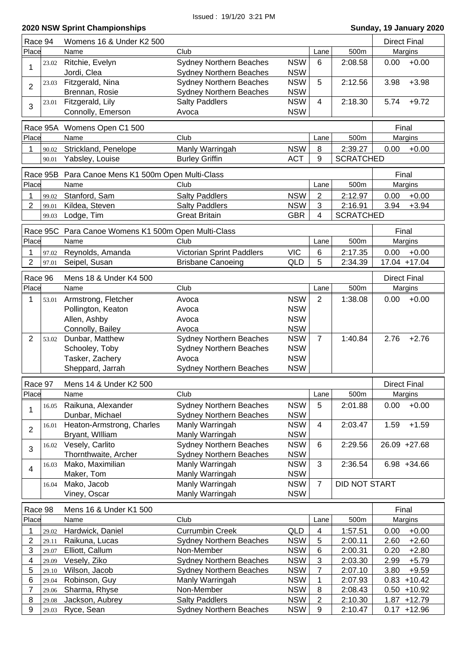| Race 94          |          | Womens 16 & Under K2 500                   |                                  |                          |                | <b>Direct Final</b>         |                     |                |
|------------------|----------|--------------------------------------------|----------------------------------|--------------------------|----------------|-----------------------------|---------------------|----------------|
| Place            |          | Name                                       | Club                             |                          | Lane           | 500m                        |                     | Margins        |
|                  | 23.02    | Ritchie, Evelyn                            | <b>Sydney Northern Beaches</b>   | <b>NSW</b>               | $6\phantom{1}$ | 2:08.58                     | 0.00                | $+0.00$        |
| 1                |          | Jordi, Clea                                | <b>Sydney Northern Beaches</b>   | <b>NSW</b>               |                |                             |                     |                |
| $\overline{2}$   | 23.03    | Fitzgerald, Nina                           | <b>Sydney Northern Beaches</b>   | <b>NSW</b>               | 5              | 2:12.56                     | 3.98                | $+3.98$        |
|                  |          | Brennan, Rosie                             | Sydney Northern Beaches          | <b>NSW</b>               |                |                             |                     |                |
| 3                | 23.01    | Fitzgerald, Lily                           | <b>Salty Paddlers</b>            | <b>NSW</b>               | $\overline{4}$ | 2:18.30                     | 5.74                | $+9.72$        |
|                  |          | Connolly, Emerson                          | Avoca                            | <b>NSW</b>               |                |                             |                     |                |
|                  | Race 95A | Womens Open C1 500                         |                                  |                          |                |                             | Final               |                |
| Place            |          | Name                                       | Club                             |                          | Lane           | 500m                        |                     | Margins        |
|                  |          |                                            |                                  |                          |                |                             |                     |                |
| 1                | 90.02    | Strickland, Penelope                       | Manly Warringah                  | <b>NSW</b><br><b>ACT</b> | 8<br>9         | 2:39.27<br><b>SCRATCHED</b> | 0.00                | $+0.00$        |
|                  | 90.01    | Yabsley, Louise                            | <b>Burley Griffin</b>            |                          |                |                             |                     |                |
|                  | Race 95B | Para Canoe Mens K1 500m Open Multi-Class   |                                  |                          |                |                             | Final               |                |
| Place            |          | Name                                       | Club                             |                          | Lane           | 500m                        |                     | Margins        |
| 1                | 99.02    | Stanford, Sam                              | <b>Salty Paddlers</b>            | <b>NSW</b>               | 2              | 2:12.97                     | 0.00                | $+0.00$        |
| 2                | 99.01    | Kildea, Steven                             | <b>Salty Paddlers</b>            | <b>NSW</b>               | 3              | 2:16.91                     | 3.94                | $+3.94$        |
|                  | 99.03    | Lodge, Tim                                 | <b>Great Britain</b>             | <b>GBR</b>               | $\overline{4}$ | <b>SCRATCHED</b>            |                     |                |
|                  |          |                                            |                                  |                          |                |                             |                     |                |
|                  | Race 95C | Para Canoe Womens K1 500m Open Multi-Class |                                  |                          |                |                             | Final               |                |
| Place            |          | Name                                       | Club                             |                          | Lane           | 500m                        |                     | Margins        |
| 1                | 97.02    | Reynolds, Amanda                           | <b>Victorian Sprint Paddlers</b> | <b>VIC</b>               | 6              | 2:17.35                     | 0.00                | $+0.00$        |
| 2                | 97.01    | Seipel, Susan                              | <b>Brisbane Canoeing</b>         | QLD                      | 5              | 2:34.39                     |                     | 17.04 +17.04   |
| Race 96          |          | Mens 18 & Under K4 500                     |                                  |                          |                |                             | <b>Direct Final</b> |                |
| Place            |          | Name                                       | Club                             |                          | Lane           | 500m                        |                     | Margins        |
| 1                | 53.01    | Armstrong, Fletcher                        | Avoca                            | <b>NSW</b>               | $\overline{2}$ | 1:38.08                     | 0.00                | $+0.00$        |
|                  |          | Pollington, Keaton                         | Avoca                            | <b>NSW</b>               |                |                             |                     |                |
|                  |          | Allen, Ashby                               | Avoca                            | <b>NSW</b>               |                |                             |                     |                |
|                  |          | Connolly, Bailey                           | Avoca                            | <b>NSW</b>               |                |                             |                     |                |
| $\overline{2}$   | 53.02    | Dunbar, Matthew                            | <b>Sydney Northern Beaches</b>   | <b>NSW</b>               | $\overline{7}$ | 1:40.84                     | 2.76                | $+2.76$        |
|                  |          | Schooley, Toby                             | Sydney Northern Beaches          | <b>NSW</b>               |                |                             |                     |                |
|                  |          | Tasker, Zachery                            | Avoca                            | <b>NSW</b>               |                |                             |                     |                |
|                  |          | Sheppard, Jarrah                           | <b>Sydney Northern Beaches</b>   | <b>NSW</b>               |                |                             |                     |                |
|                  |          |                                            |                                  |                          |                |                             |                     |                |
| Race 97          |          | Mens 14 & Under K2 500                     |                                  |                          |                |                             | <b>Direct Final</b> |                |
| Place            |          | Name                                       | Club                             |                          | Lane           | 500m                        |                     | Margins        |
| 1                | 16.05    | Raikuna, Alexander                         | <b>Sydney Northern Beaches</b>   | <b>NSW</b>               | 5              | 2:01.88                     | 0.00                | $+0.00$        |
|                  |          | Dunbar, Michael                            | <b>Sydney Northern Beaches</b>   | <b>NSW</b>               |                |                             |                     |                |
| $\overline{2}$   | 16.01    | Heaton-Armstrong, Charles                  | Manly Warringah                  | <b>NSW</b>               | 4              | 2:03.47                     | 1.59                | $+1.59$        |
|                  |          | Bryant, William                            | Manly Warringah                  | <b>NSW</b>               |                |                             |                     |                |
| 3                | 16.02    | Vesely, Carlito                            | Sydney Northern Beaches          | <b>NSW</b>               | 6              | 2:29.56                     |                     | 26.09 +27.68   |
|                  |          | Thornthwaite, Archer                       | <b>Sydney Northern Beaches</b>   | <b>NSW</b>               |                |                             |                     |                |
| $\overline{4}$   | 16.03    | Mako, Maximilian                           | Manly Warringah                  | <b>NSW</b>               | 3              | 2:36.54                     |                     | $6.98 + 34.66$ |
|                  |          | Maker, Tom                                 | Manly Warringah                  | <b>NSW</b>               |                |                             |                     |                |
|                  | 16.04    | Mako, Jacob                                | Manly Warringah                  | <b>NSW</b>               | $\overline{7}$ | <b>DID NOT START</b>        |                     |                |
|                  |          | Viney, Oscar                               | Manly Warringah                  | <b>NSW</b>               |                |                             |                     |                |
| Race 98          |          | Mens 16 & Under K1 500                     |                                  |                          |                |                             | Final               |                |
| Place            |          | Name                                       | Club                             |                          | Lane           | 500m                        |                     | Margins        |
| 1                | 29.02    | Hardwick, Daniel                           | <b>Currumbin Creek</b>           | QLD                      | 4              | 1:57.51                     | 0.00                | $+0.00$        |
| 2                | 29.11    | Raikuna, Lucas                             | <b>Sydney Northern Beaches</b>   | <b>NSW</b>               | 5              | 2:00.11                     | 2.60                | $+2.60$        |
| $\sqrt{3}$       | 29.07    | Elliott, Callum                            | Non-Member                       | <b>NSW</b>               | 6              | 2:00.31                     | 0.20                | $+2.80$        |
| 4                | 29.09    | Vesely, Ziko                               | <b>Sydney Northern Beaches</b>   | <b>NSW</b>               | $\sqrt{3}$     | 2:03.30                     | 2.99                | $+5.79$        |
| 5                | 29.10    | Wilson, Jacob                              | <b>Sydney Northern Beaches</b>   | <b>NSW</b>               | 7              | 2:07.10                     | 3.80                | $+9.59$        |
| 6                | 29.04    | Robinson, Guy                              | Manly Warringah                  | <b>NSW</b>               | 1              | 2:07.93                     | 0.83                | $+10.42$       |
| 7                | 29.06    | Sharma, Rhyse                              | Non-Member                       | <b>NSW</b>               | 8              | 2:08.43                     | 0.50                | $+10.92$       |
| 8                | 29.08    | Jackson, Aubrey                            | <b>Salty Paddlers</b>            | <b>NSW</b>               | $\overline{c}$ | 2:10.30                     |                     | $1.87 + 12.79$ |
| $\boldsymbol{9}$ | 29.03    | Ryce, Sean                                 | <b>Sydney Northern Beaches</b>   | <b>NSW</b>               | 9              | 2:10.47                     |                     | $0.17 + 12.96$ |